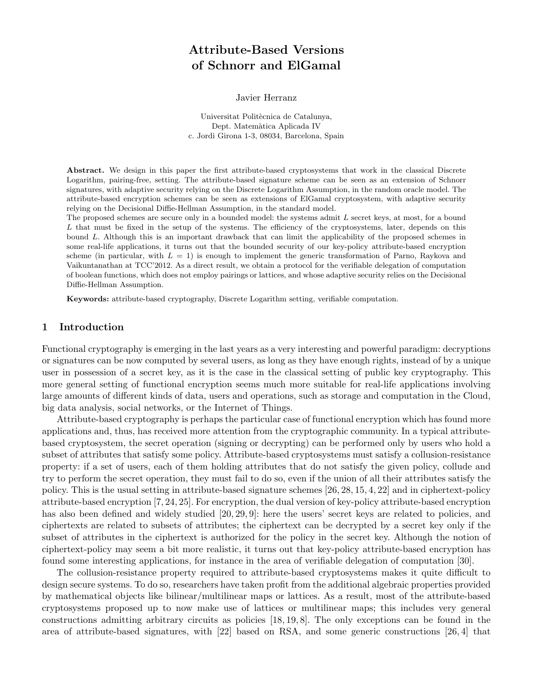# Attribute-Based Versions of Schnorr and ElGamal

Javier Herranz

Universitat Politècnica de Catalunya, Dept. Matem`atica Aplicada IV c. Jordi Girona 1-3, 08034, Barcelona, Spain

Abstract. We design in this paper the first attribute-based cryptosystems that work in the classical Discrete Logarithm, pairing-free, setting. The attribute-based signature scheme can be seen as an extension of Schnorr signatures, with adaptive security relying on the Discrete Logarithm Assumption, in the random oracle model. The attribute-based encryption schemes can be seen as extensions of ElGamal cryptosystem, with adaptive security relying on the Decisional Diffie-Hellman Assumption, in the standard model.

The proposed schemes are secure only in a bounded model: the systems admit L secret keys, at most, for a bound L that must be fixed in the setup of the systems. The efficiency of the cryptosystems, later, depends on this bound L. Although this is an important drawback that can limit the applicability of the proposed schemes in some real-life applications, it turns out that the bounded security of our key-policy attribute-based encryption scheme (in particular, with  $L = 1$ ) is enough to implement the generic transformation of Parno, Raykova and Vaikuntanathan at TCC'2012. As a direct result, we obtain a protocol for the verifiable delegation of computation of boolean functions, which does not employ pairings or lattices, and whose adaptive security relies on the Decisional Diffie-Hellman Assumption.

Keywords: attribute-based cryptography, Discrete Logarithm setting, verifiable computation.

## 1 Introduction

Functional cryptography is emerging in the last years as a very interesting and powerful paradigm: decryptions or signatures can be now computed by several users, as long as they have enough rights, instead of by a unique user in possession of a secret key, as it is the case in the classical setting of public key cryptography. This more general setting of functional encryption seems much more suitable for real-life applications involving large amounts of different kinds of data, users and operations, such as storage and computation in the Cloud, big data analysis, social networks, or the Internet of Things.

Attribute-based cryptography is perhaps the particular case of functional encryption which has found more applications and, thus, has received more attention from the cryptographic community. In a typical attributebased cryptosystem, the secret operation (signing or decrypting) can be performed only by users who hold a subset of attributes that satisfy some policy. Attribute-based cryptosystems must satisfy a collusion-resistance property: if a set of users, each of them holding attributes that do not satisfy the given policy, collude and try to perform the secret operation, they must fail to do so, even if the union of all their attributes satisfy the policy. This is the usual setting in attribute-based signature schemes [26, 28, 15, 4, 22] and in ciphertext-policy attribute-based encryption [7, 24, 25]. For encryption, the dual version of key-policy attribute-based encryption has also been defined and widely studied [20, 29, 9]: here the users' secret keys are related to policies, and ciphertexts are related to subsets of attributes; the ciphertext can be decrypted by a secret key only if the subset of attributes in the ciphertext is authorized for the policy in the secret key. Although the notion of ciphertext-policy may seem a bit more realistic, it turns out that key-policy attribute-based encryption has found some interesting applications, for instance in the area of verifiable delegation of computation [30].

The collusion-resistance property required to attribute-based cryptosystems makes it quite difficult to design secure systems. To do so, researchers have taken profit from the additional algebraic properties provided by mathematical objects like bilinear/multilinear maps or lattices. As a result, most of the attribute-based cryptosystems proposed up to now make use of lattices or multilinear maps; this includes very general constructions admitting arbitrary circuits as policies [18, 19, 8]. The only exceptions can be found in the area of attribute-based signatures, with [22] based on RSA, and some generic constructions [26, 4] that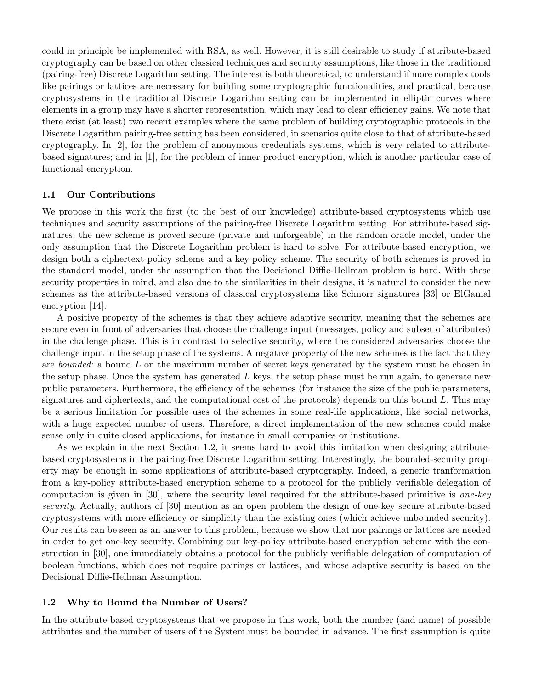could in principle be implemented with RSA, as well. However, it is still desirable to study if attribute-based cryptography can be based on other classical techniques and security assumptions, like those in the traditional (pairing-free) Discrete Logarithm setting. The interest is both theoretical, to understand if more complex tools like pairings or lattices are necessary for building some cryptographic functionalities, and practical, because cryptosystems in the traditional Discrete Logarithm setting can be implemented in elliptic curves where elements in a group may have a shorter representation, which may lead to clear efficiency gains. We note that there exist (at least) two recent examples where the same problem of building cryptographic protocols in the Discrete Logarithm pairing-free setting has been considered, in scenarios quite close to that of attribute-based cryptography. In [2], for the problem of anonymous credentials systems, which is very related to attributebased signatures; and in [1], for the problem of inner-product encryption, which is another particular case of functional encryption.

#### 1.1 Our Contributions

We propose in this work the first (to the best of our knowledge) attribute-based cryptosystems which use techniques and security assumptions of the pairing-free Discrete Logarithm setting. For attribute-based signatures, the new scheme is proved secure (private and unforgeable) in the random oracle model, under the only assumption that the Discrete Logarithm problem is hard to solve. For attribute-based encryption, we design both a ciphertext-policy scheme and a key-policy scheme. The security of both schemes is proved in the standard model, under the assumption that the Decisional Diffie-Hellman problem is hard. With these security properties in mind, and also due to the similarities in their designs, it is natural to consider the new schemes as the attribute-based versions of classical cryptosystems like Schnorr signatures [33] or ElGamal encryption [14].

A positive property of the schemes is that they achieve adaptive security, meaning that the schemes are secure even in front of adversaries that choose the challenge input (messages, policy and subset of attributes) in the challenge phase. This is in contrast to selective security, where the considered adversaries choose the challenge input in the setup phase of the systems. A negative property of the new schemes is the fact that they are bounded: a bound L on the maximum number of secret keys generated by the system must be chosen in the setup phase. Once the system has generated  $L$  keys, the setup phase must be run again, to generate new public parameters. Furthermore, the efficiency of the schemes (for instance the size of the public parameters, signatures and ciphertexts, and the computational cost of the protocols) depends on this bound  $L$ . This may be a serious limitation for possible uses of the schemes in some real-life applications, like social networks, with a huge expected number of users. Therefore, a direct implementation of the new schemes could make sense only in quite closed applications, for instance in small companies or institutions.

As we explain in the next Section 1.2, it seems hard to avoid this limitation when designing attributebased cryptosystems in the pairing-free Discrete Logarithm setting. Interestingly, the bounded-security property may be enough in some applications of attribute-based cryptography. Indeed, a generic tranformation from a key-policy attribute-based encryption scheme to a protocol for the publicly verifiable delegation of computation is given in [30], where the security level required for the attribute-based primitive is *one-key* security. Actually, authors of [30] mention as an open problem the design of one-key secure attribute-based cryptosystems with more efficiency or simplicity than the existing ones (which achieve unbounded security). Our results can be seen as an answer to this problem, because we show that nor pairings or lattices are needed in order to get one-key security. Combining our key-policy attribute-based encryption scheme with the construction in [30], one immediately obtains a protocol for the publicly verifiable delegation of computation of boolean functions, which does not require pairings or lattices, and whose adaptive security is based on the Decisional Diffie-Hellman Assumption.

### 1.2 Why to Bound the Number of Users?

In the attribute-based cryptosystems that we propose in this work, both the number (and name) of possible attributes and the number of users of the System must be bounded in advance. The first assumption is quite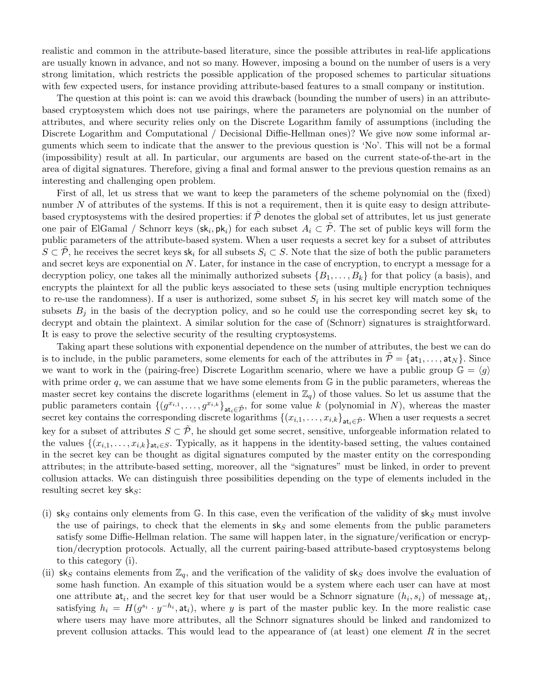realistic and common in the attribute-based literature, since the possible attributes in real-life applications are usually known in advance, and not so many. However, imposing a bound on the number of users is a very strong limitation, which restricts the possible application of the proposed schemes to particular situations with few expected users, for instance providing attribute-based features to a small company or institution.

The question at this point is: can we avoid this drawback (bounding the number of users) in an attributebased cryptosystem which does not use pairings, where the parameters are polynomial on the number of attributes, and where security relies only on the Discrete Logarithm family of assumptions (including the Discrete Logarithm and Computational / Decisional Diffie-Hellman ones)? We give now some informal arguments which seem to indicate that the answer to the previous question is 'No'. This will not be a formal (impossibility) result at all. In particular, our arguments are based on the current state-of-the-art in the area of digital signatures. Therefore, giving a final and formal answer to the previous question remains as an interesting and challenging open problem.

First of all, let us stress that we want to keep the parameters of the scheme polynomial on the (fixed) number  $N$  of attributes of the systems. If this is not a requirement, then it is quite easy to design attributebased cryptosystems with the desired properties: if  $\hat{\mathcal{P}}$  denotes the global set of attributes, let us just generate one pair of ElGamal / Schnorr keys  $(\mathsf{sk}_i, \mathsf{pk}_i)$  for each subset  $A_i \subset \tilde{\mathcal{P}}$ . The set of public keys will form the public parameters of the attribute-based system. When a user requests a secret key for a subset of attributes  $S \subset \mathcal{P}$ , he receives the secret keys sk<sub>i</sub> for all subsets  $S_i \subset S$ . Note that the size of both the public parameters and secret keys are exponential on N. Later, for instance in the case of encryption, to encrypt a message for a decryption policy, one takes all the minimally authorized subsets  $\{B_1, \ldots, B_k\}$  for that policy (a basis), and encrypts the plaintext for all the public keys associated to these sets (using multiple encryption techniques to re-use the randomness). If a user is authorized, some subset  $S_i$  in his secret key will match some of the subsets  $B_i$  in the basis of the decryption policy, and so he could use the corresponding secret key sk<sub>i</sub> to decrypt and obtain the plaintext. A similar solution for the case of (Schnorr) signatures is straightforward. It is easy to prove the selective security of the resulting cryptosystems.

Taking apart these solutions with exponential dependence on the number of attributes, the best we can do is to include, in the public parameters, some elements for each of the attributes in  $\tilde{\mathcal{P}} = \{\mathsf{at}_1, \ldots, \mathsf{at}_N\}$ . Since we want to work in the (pairing-free) Discrete Logarithm scenario, where we have a public group  $\mathbb{G} = \langle g \rangle$ with prime order q, we can assume that we have some elements from  $\mathbb G$  in the public parameters, whereas the master secret key contains the discrete logarithms (element in  $\mathbb{Z}_q$ ) of those values. So let us assume that the public parameters contain  $\{(g^{x_{i,1}},\ldots,g^{x_{i,k}}\}_{\mathtt{at}_i\in\tilde{\mathcal{P}}},\}$  for some value k (polynomial in N), whereas the master secret key contains the corresponding discrete logarithms  $\{(x_{i,1},\ldots,x_{i,k}\}_{\mathtt{at}_i\in\tilde{\mathcal{P}}}$ . When a user requests a secret key for a subset of attributes  $S \subset \tilde{\mathcal{P}}$ , he should get some secret, sensitive, unforgeable information related to the values  $\{(x_{i,1},\ldots,x_{i,k}\}_{\text{at}_i\in S}$ . Typically, as it happens in the identity-based setting, the values contained in the secret key can be thought as digital signatures computed by the master entity on the corresponding attributes; in the attribute-based setting, moreover, all the "signatures" must be linked, in order to prevent collusion attacks. We can distinguish three possibilities depending on the type of elements included in the resulting secret key  $sk_S$ :

- (i) sks contains only elements from G. In this case, even the verification of the validity of sks must involve the use of pairings, to check that the elements in  $sk<sub>S</sub>$  and some elements from the public parameters satisfy some Diffie-Hellman relation. The same will happen later, in the signature/verification or encryption/decryption protocols. Actually, all the current pairing-based attribute-based cryptosystems belong to this category (i).
- (ii) sks contains elements from  $\mathbb{Z}_q$ , and the verification of the validity of sks does involve the evaluation of some hash function. An example of this situation would be a system where each user can have at most one attribute  $at_i$ , and the secret key for that user would be a Schnorr signature  $(h_i, s_i)$  of message  $at_i$ , satisfying  $h_i = H(g^{s_i} \cdot y^{-h_i}, \text{at}_i)$ , where y is part of the master public key. In the more realistic case where users may have more attributes, all the Schnorr signatures should be linked and randomized to prevent collusion attacks. This would lead to the appearance of (at least) one element  $R$  in the secret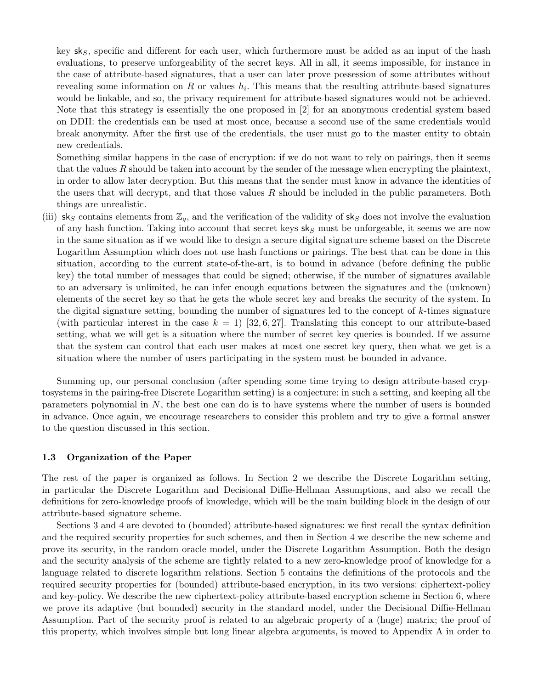key  $sk_S$ , specific and different for each user, which furthermore must be added as an input of the hash evaluations, to preserve unforgeability of the secret keys. All in all, it seems impossible, for instance in the case of attribute-based signatures, that a user can later prove possession of some attributes without revealing some information on R or values  $h_i$ . This means that the resulting attribute-based signatures would be linkable, and so, the privacy requirement for attribute-based signatures would not be achieved. Note that this strategy is essentially the one proposed in [2] for an anonymous credential system based on DDH: the credentials can be used at most once, because a second use of the same credentials would break anonymity. After the first use of the credentials, the user must go to the master entity to obtain new credentials.

Something similar happens in the case of encryption: if we do not want to rely on pairings, then it seems that the values R should be taken into account by the sender of the message when encrypting the plaintext, in order to allow later decryption. But this means that the sender must know in advance the identities of the users that will decrypt, and that those values  $R$  should be included in the public parameters. Both things are unrealistic.

(iii) sk<sub>S</sub> contains elements from  $\mathbb{Z}_q$ , and the verification of the validity of sk<sub>S</sub> does not involve the evaluation of any hash function. Taking into account that secret keys  $s \mid s$  must be unforgeable, it seems we are now in the same situation as if we would like to design a secure digital signature scheme based on the Discrete Logarithm Assumption which does not use hash functions or pairings. The best that can be done in this situation, according to the current state-of-the-art, is to bound in advance (before defining the public key) the total number of messages that could be signed; otherwise, if the number of signatures available to an adversary is unlimited, he can infer enough equations between the signatures and the (unknown) elements of the secret key so that he gets the whole secret key and breaks the security of the system. In the digital signature setting, bounding the number of signatures led to the concept of  $k$ -times signature (with particular interest in the case  $k = 1$ ) [32, 6, 27]. Translating this concept to our attribute-based setting, what we will get is a situation where the number of secret key queries is bounded. If we assume that the system can control that each user makes at most one secret key query, then what we get is a situation where the number of users participating in the system must be bounded in advance.

Summing up, our personal conclusion (after spending some time trying to design attribute-based cryptosystems in the pairing-free Discrete Logarithm setting) is a conjecture: in such a setting, and keeping all the parameters polynomial in  $N$ , the best one can do is to have systems where the number of users is bounded in advance. Once again, we encourage researchers to consider this problem and try to give a formal answer to the question discussed in this section.

#### 1.3 Organization of the Paper

The rest of the paper is organized as follows. In Section 2 we describe the Discrete Logarithm setting, in particular the Discrete Logarithm and Decisional Diffie-Hellman Assumptions, and also we recall the definitions for zero-knowledge proofs of knowledge, which will be the main building block in the design of our attribute-based signature scheme.

Sections 3 and 4 are devoted to (bounded) attribute-based signatures: we first recall the syntax definition and the required security properties for such schemes, and then in Section 4 we describe the new scheme and prove its security, in the random oracle model, under the Discrete Logarithm Assumption. Both the design and the security analysis of the scheme are tightly related to a new zero-knowledge proof of knowledge for a language related to discrete logarithm relations. Section 5 contains the definitions of the protocols and the required security properties for (bounded) attribute-based encryption, in its two versions: ciphertext-policy and key-policy. We describe the new ciphertext-policy attribute-based encryption scheme in Section 6, where we prove its adaptive (but bounded) security in the standard model, under the Decisional Diffie-Hellman Assumption. Part of the security proof is related to an algebraic property of a (huge) matrix; the proof of this property, which involves simple but long linear algebra arguments, is moved to Appendix A in order to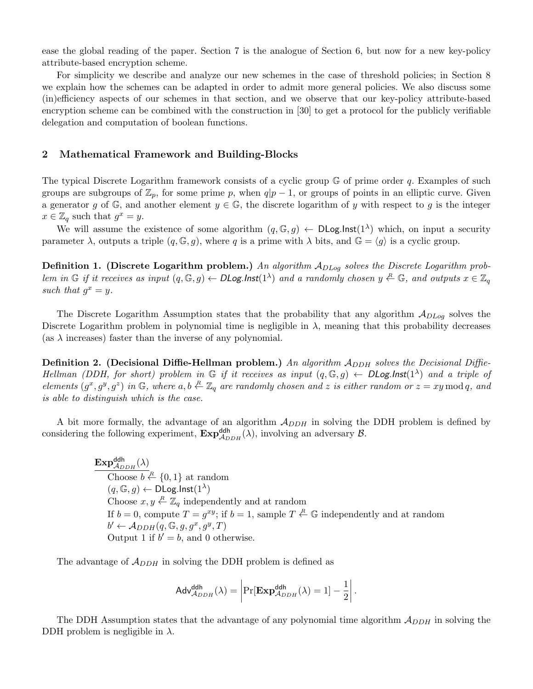ease the global reading of the paper. Section 7 is the analogue of Section 6, but now for a new key-policy attribute-based encryption scheme.

For simplicity we describe and analyze our new schemes in the case of threshold policies; in Section 8 we explain how the schemes can be adapted in order to admit more general policies. We also discuss some (in)efficiency aspects of our schemes in that section, and we observe that our key-policy attribute-based encryption scheme can be combined with the construction in [30] to get a protocol for the publicly verifiable delegation and computation of boolean functions.

## 2 Mathematical Framework and Building-Blocks

The typical Discrete Logarithm framework consists of a cyclic group  $\mathbb{G}$  of prime order q. Examples of such groups are subgroups of  $\mathbb{Z}_p$ , for some prime p, when  $q|p-1$ , or groups of points in an elliptic curve. Given a generator g of G, and another element  $y \in \mathbb{G}$ , the discrete logarithm of y with respect to g is the integer  $x \in \mathbb{Z}_q$  such that  $g^x = y$ .

We will assume the existence of some algorithm  $(q, \mathbb{G}, g) \leftarrow \text{DLog-Inst}(1^{\lambda})$  which, on input a security parameter  $\lambda$ , outputs a triple  $(q, \mathbb{G}, g)$ , where q is a prime with  $\lambda$  bits, and  $\mathbb{G} = \langle g \rangle$  is a cyclic group.

**Definition 1.** (Discrete Logarithm problem.) An algorithm  $A_{DLog}$  solves the Discrete Logarithm problem in G if it receives as input  $(q, \mathbb{G}, g) \leftarrow \text{DLog-Inst}(1^{\lambda})$  and a randomly chosen  $y \stackrel{R}{\leftarrow} \mathbb{G}$ , and outputs  $x \in \mathbb{Z}_q$ such that  $g^x = y$ .

The Discrete Logarithm Assumption states that the probability that any algorithm  $A_{DLog}$  solves the Discrete Logarithm problem in polynomial time is negligible in  $\lambda$ , meaning that this probability decreases (as  $\lambda$  increases) faster than the inverse of any polynomial.

**Definition 2.** (Decisional Diffie-Hellman problem.) An algorithm  $A_{DDH}$  solves the Decisional Diffie-Hellman (DDH, for short) problem in G if it receives as input  $(q, \mathbb{G}, g) \leftarrow \text{DLog-Inst}(1^{\lambda})$  and a triple of elements  $(g^x, g^y, g^z)$  in  $\mathbb{G}$ , where  $a, b \stackrel{R}{\leftarrow} \mathbb{Z}_q$  are randomly chosen and z is either random or  $z = xy \mod q$ , and is able to distinguish which is the case.

A bit more formally, the advantage of an algorithm  $A_{DDH}$  in solving the DDH problem is defined by considering the following experiment,  $\text{Exp}_{A_{DDH}}^{\text{ddh}}(\lambda)$ , involving an adversary  $\beta$ .

> $\mathrm{Exp}^{\mathsf{ddh}}_{\mathcal{A}_{DDH}}(\lambda)$ Choose  $b \stackrel{R}{\leftarrow} \{0,1\}$  at random  $(q, \mathbb{G}, g) \leftarrow \mathsf{DLog}.\mathsf{Inst}(1^\lambda)$ Choose  $x, y \stackrel{R}{\leftarrow} \mathbb{Z}_q$  independently and at random If  $b = 0$ , compute  $T = g^{xy}$ ; if  $b = 1$ , sample  $T \stackrel{R}{\leftarrow} \mathbb{G}$  independently and at random  $b' \leftarrow \mathcal{A}_{DDH}(q, \mathbb{G}, g, g^x, g^y, T)$ Output 1 if  $b' = b$ , and 0 otherwise.

The advantage of  $\mathcal{A}_{DDH}$  in solving the DDH problem is defined as

$$
\mathsf{Adv}_{\mathcal{A}_{DDH}}^{\mathsf{ddh}}(\lambda) = \left| \Pr[\mathbf{Exp}_{\mathcal{A}_{DDH}}^{\mathsf{ddh}}(\lambda) = 1] - \frac{1}{2} \right|.
$$

The DDH Assumption states that the advantage of any polynomial time algorithm  $A_{DDH}$  in solving the DDH problem is negligible in  $\lambda$ .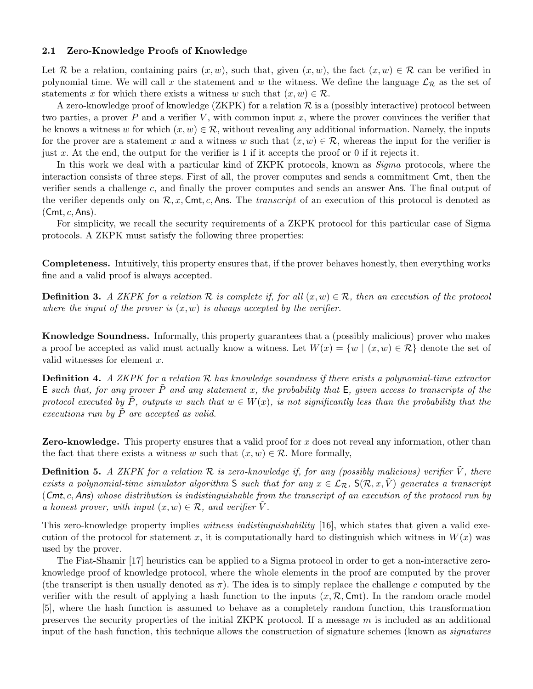### 2.1 Zero-Knowledge Proofs of Knowledge

Let R be a relation, containing pairs  $(x, w)$ , such that, given  $(x, w)$ , the fact  $(x, w) \in \mathcal{R}$  can be verified in polynomial time. We will call x the statement and w the witness. We define the language  $\mathcal{L}_R$  as the set of statements x for which there exists a witness w such that  $(x, w) \in \mathcal{R}$ .

A zero-knowledge proof of knowledge  $(ZKPK)$  for a relation  $\mathcal R$  is a (possibly interactive) protocol between two parties, a prover  $P$  and a verifier  $V$ , with common input  $x$ , where the prover convinces the verifier that he knows a witness w for which  $(x, w) \in \mathcal{R}$ , without revealing any additional information. Namely, the inputs for the prover are a statement x and a witness w such that  $(x, w) \in \mathcal{R}$ , whereas the input for the verifier is just x. At the end, the output for the verifier is 1 if it accepts the proof or 0 if it rejects it.

In this work we deal with a particular kind of ZKPK protocols, known as *Sigma* protocols, where the interaction consists of three steps. First of all, the prover computes and sends a commitment Cmt, then the verifier sends a challenge c, and finally the prover computes and sends an answer Ans. The final output of the verifier depends only on  $\mathcal{R}, x$ , Cmt, c, Ans. The *transcript* of an execution of this protocol is denoted as  $(Cmt, c, Ans).$ 

For simplicity, we recall the security requirements of a ZKPK protocol for this particular case of Sigma protocols. A ZKPK must satisfy the following three properties:

Completeness. Intuitively, this property ensures that, if the prover behaves honestly, then everything works fine and a valid proof is always accepted.

**Definition 3.** A ZKPK for a relation R is complete if, for all  $(x, w) \in \mathcal{R}$ , then an execution of the protocol where the input of the prover is  $(x, w)$  is always accepted by the verifier.

Knowledge Soundness. Informally, this property guarantees that a (possibly malicious) prover who makes a proof be accepted as valid must actually know a witness. Let  $W(x) = \{w \mid (x, w) \in \mathcal{R}\}\$  denote the set of valid witnesses for element x.

**Definition 4.** A ZKPK for a relation  $\mathcal{R}$  has knowledge soundness if there exists a polynomial-time extractor E such that, for any prover  $\tilde{P}$  and any statement x, the probability that E, given access to transcripts of the protocol executed by  $\tilde{P}$ , outputs w such that  $w \in W(x)$ , is not significantly less than the probability that the executions run by  $P$  are accepted as valid.

**Zero-knowledge.** This property ensures that a valid proof for x does not reveal any information, other than the fact that there exists a witness w such that  $(x, w) \in \mathcal{R}$ . More formally,

**Definition 5.** A ZKPK for a relation  $\mathcal R$  is zero-knowledge if, for any (possibly malicious) verifier  $\tilde V$ , there exists a polynomial-time simulator algorithm S such that for any  $x \in \mathcal{L}_{\mathcal{R}}$ ,  $S(\mathcal{R}, x, \tilde{V})$  generates a transcript (Cmt, c, Ans) whose distribution is indistinguishable from the transcript of an execution of the protocol run by a honest prover, with input  $(x, w) \in \mathcal{R}$ , and verifier V.

This zero-knowledge property implies *witness indistinguishability* [16], which states that given a valid execution of the protocol for statement x, it is computationally hard to distinguish which witness in  $W(x)$  was used by the prover.

The Fiat-Shamir [17] heuristics can be applied to a Sigma protocol in order to get a non-interactive zeroknowledge proof of knowledge protocol, where the whole elements in the proof are computed by the prover (the transcript is then usually denoted as  $\pi$ ). The idea is to simply replace the challenge c computed by the verifier with the result of applying a hash function to the inputs  $(x, \mathcal{R}, \mathsf{Cmt})$ . In the random oracle model [5], where the hash function is assumed to behave as a completely random function, this transformation preserves the security properties of the initial ZKPK protocol. If a message  $m$  is included as an additional input of the hash function, this technique allows the construction of signature schemes (known as *signatures*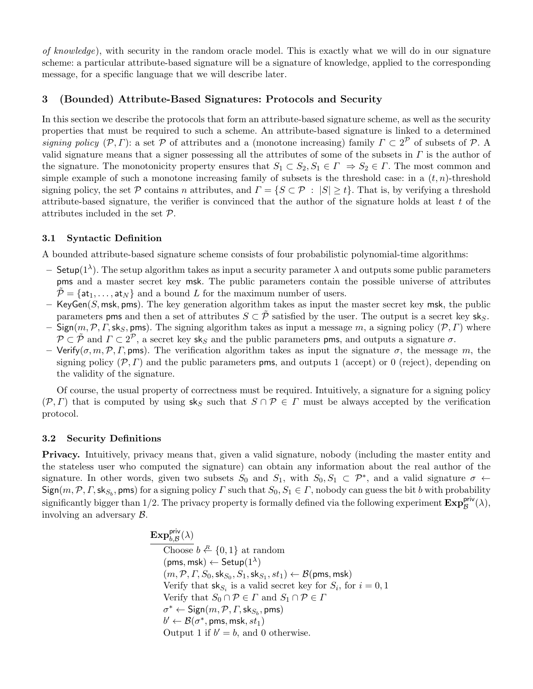of knowledge), with security in the random oracle model. This is exactly what we will do in our signature scheme: a particular attribute-based signature will be a signature of knowledge, applied to the corresponding message, for a specific language that we will describe later.

## 3 (Bounded) Attribute-Based Signatures: Protocols and Security

In this section we describe the protocols that form an attribute-based signature scheme, as well as the security properties that must be required to such a scheme. An attribute-based signature is linked to a determined signing policy  $(\mathcal{P}, \Gamma)$ : a set  $\mathcal P$  of attributes and a (monotone increasing) family  $\Gamma \subset 2^{\mathcal{P}}$  of subsets of  $\mathcal P$ . A valid signature means that a signer possessing all the attributes of some of the subsets in  $\Gamma$  is the author of the signature. The monotonicity property ensures that  $S_1 \subset S_2, S_1 \in \Gamma \Rightarrow S_2 \in \Gamma$ . The most common and simple example of such a monotone increasing family of subsets is the threshold case: in a  $(t, n)$ -threshold signing policy, the set P contains n attributes, and  $\Gamma = \{S \subset \mathcal{P} : |S| \ge t\}$ . That is, by verifying a threshold attribute-based signature, the verifier is convinced that the author of the signature holds at least  $t$  of the attributes included in the set P.

## 3.1 Syntactic Definition

A bounded attribute-based signature scheme consists of four probabilistic polynomial-time algorithms:

- Setup(1<sup>λ</sup>). The setup algorithm takes as input a security parameter  $\lambda$  and outputs some public parameters pms and a master secret key msk. The public parameters contain the possible universe of attributes  $\tilde{\mathcal{P}} = {\mathsf{at}_1, \ldots, \mathsf{at}_N}$  and a bound L for the maximum number of users.
- $-$  KeyGen(S, msk, pms). The key generation algorithm takes as input the master secret key msk, the public parameters pms and then a set of attributes  $S \subset \tilde{P}$  satisfied by the user. The output is a secret key sks.
- Sign(m, P,  $\Gamma$ , sk<sub>S</sub>, pms). The signing algorithm takes as input a message m, a signing policy (P,  $\Gamma$ ) where  $\mathcal{P} \subset \tilde{\mathcal{P}}$  and  $\Gamma \subset 2^{\mathcal{P}}$ , a secret key sks and the public parameters pms, and outputs a signature  $\sigma$ .
- Verify( $\sigma, m, \mathcal{P}, \Gamma$ , pms). The verification algorithm takes as input the signature  $\sigma$ , the message m, the signing policy  $(\mathcal{P}, \Gamma)$  and the public parameters **pms**, and outputs 1 (accept) or 0 (reject), depending on the validity of the signature.

Of course, the usual property of correctness must be required. Intuitively, a signature for a signing policy  $(\mathcal{P}, \Gamma)$  that is computed by using sks such that  $S \cap \mathcal{P} \in \Gamma$  must be always accepted by the verification protocol.

## 3.2 Security Definitions

Privacy. Intuitively, privacy means that, given a valid signature, nobody (including the master entity and the stateless user who computed the signature) can obtain any information about the real author of the signature. In other words, given two subsets  $S_0$  and  $S_1$ , with  $S_0, S_1 \subset \mathcal{P}^*$ , and a valid signature  $\sigma \leftarrow$  $\textsf{Sign}(m,\mathcal{P},\Gamma,\textsf{sk}_{S_b},\textsf{pms})$  for a signing policy  $\Gamma$  such that  $S_0,S_1\in\Gamma,$  nobody can guess the bit  $b$  with probability significantly bigger than 1/2. The privacy property is formally defined via the following experiment  $\text{Exp}_{\mathcal{B}}^{\text{priv}}(\lambda)$ , involving an adversary B.

> $\mathbf{Exp}_{b,\mathcal{B}}^{\mathsf{priv}}(\lambda)$ Choose  $b \stackrel{R}{\leftarrow} \{0,1\}$  at random  $(pms,msk) \leftarrow Setup(1^{\lambda})$  $(m, \mathcal{P}, \mathit{\Gamma}, \mathit{S}_0, \mathsf{sk}_{S_0}, \mathit{S}_1, \mathsf{sk}_{S_1}, st_1) \leftarrow \mathcal{B}(\mathsf{pms},\mathsf{msk})$ Verify that  $\mathsf{sk}_{S_i}$  is a valid secret key for  $S_i$ , for  $i = 0, 1$ Verify that  $S_0 \cap \mathcal{P} \in \Gamma$  and  $S_1 \cap \mathcal{P} \in \Gamma$  $\sigma^* \leftarrow \mathsf{Sign}(m, \mathcal{P}, \mathit{\Gamma}, \mathsf{sk}_{S_b}, \mathsf{pms})$  $b' \leftarrow \mathcal{B}(\sigma^*, \mathsf{pms}, \mathsf{msk}, st_1)$ Output 1 if  $b' = b$ , and 0 otherwise.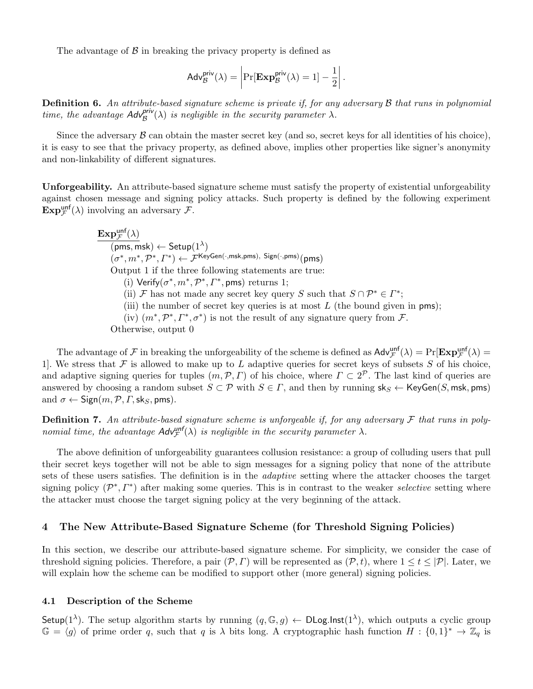The advantage of  $\beta$  in breaking the privacy property is defined as

$$
Adv_{\mathcal{B}}^{\text{priv}}(\lambda) = \left| \Pr[\mathbf{Exp}_{\mathcal{B}}^{\text{priv}}(\lambda) = 1] - \frac{1}{2} \right|.
$$

Definition 6. An attribute-based signature scheme is private if, for any adversary B that runs in polynomial time, the advantage  $Adv^{\text{priv}}_{\mathcal{B}}(\lambda)$  is negligible in the security parameter  $\lambda$ .

Since the adversary  $\beta$  can obtain the master secret key (and so, secret keys for all identities of his choice), it is easy to see that the privacy property, as defined above, implies other properties like signer's anonymity and non-linkability of different signatures.

Unforgeability. An attribute-based signature scheme must satisfy the property of existential unforgeability against chosen message and signing policy attacks. Such property is defined by the following experiment  $\mathbf{Exp}_{\mathcal{F}}^{\text{unf}}(\lambda)$  involving an adversary  $\mathcal{F}$ .

> $\mathbf{Exp}_{\mathcal{F}}^{\mathsf{unf}}(\lambda)$  $\overline{(\mathsf{pms},\mathsf{msk})\leftarrow \mathsf{Setup}(1^\lambda)}$  $(\sigma^*, m^*, \mathcal{P}^*, \varGamma^*) \leftarrow \mathcal{F}^{\sf KeyGen(\cdot, msk, pms), \; Sign(\cdot, pms)}(pms)$ Output 1 if the three following statements are true: (i) Verify( $\sigma^*$ ,  $m^*$ ,  $\mathcal{P}^*$ ,  $\Gamma^*$ , pms) returns 1; (ii) F has not made any secret key query S such that  $S \cap \mathcal{P}^* \in \Gamma^*$ ; (iii) the number of secret key queries is at most  $L$  (the bound given in pms); (iv)  $(m^*, \mathcal{P}^*, \Gamma^*, \sigma^*)$  is not the result of any signature query from  $\mathcal{F}$ . Otherwise, output 0

The advantage of  $\mathcal F$  in breaking the unforgeability of the scheme is defined as  $\mathsf{Adv}_{\mathcal F}^{\mathsf{unff}}(\lambda) = \Pr[\mathbf{Exp}_{\mathcal F}^{\mathsf{unff}}(\lambda)]$ 1. We stress that  $\mathcal F$  is allowed to make up to L adaptive queries for secret keys of subsets  $S$  of his choice, and adaptive signing queries for tuples  $(m, \mathcal{P}, \Gamma)$  of his choice, where  $\Gamma \subset 2^{\mathcal{P}}$ . The last kind of queries are answered by choosing a random subset  $S \subset \mathcal{P}$  with  $S \in \Gamma$ , and then by running  $sk_S \leftarrow \mathsf{KeyGen}(S, \mathsf{msk}, \mathsf{pms})$ and  $\sigma \leftarrow$  Sign $(m, \mathcal{P}, \Gamma, \mathsf{sk}_S, \mathsf{pms}).$ 

**Definition 7.** An attribute-based signature scheme is unforgeable if, for any adversary  $\mathcal F$  that runs in polynomial time, the advantage  $\mathsf{Adv}_{\mathcal{F}}^{\mathsf{unf}}(\lambda)$  is negligible in the security parameter  $\lambda$ .

The above definition of unforgeability guarantees collusion resistance: a group of colluding users that pull their secret keys together will not be able to sign messages for a signing policy that none of the attribute sets of these users satisfies. The definition is in the adaptive setting where the attacker chooses the target signing policy  $(\mathcal{P}^*, \Gamma^*)$  after making some queries. This is in contrast to the weaker selective setting where the attacker must choose the target signing policy at the very beginning of the attack.

## 4 The New Attribute-Based Signature Scheme (for Threshold Signing Policies)

In this section, we describe our attribute-based signature scheme. For simplicity, we consider the case of threshold signing policies. Therefore, a pair  $(\mathcal{P}, \Gamma)$  will be represented as  $(\mathcal{P}, t)$ , where  $1 \le t \le |\mathcal{P}|$ . Later, we will explain how the scheme can be modified to support other (more general) signing policies.

#### 4.1 Description of the Scheme

Setup(1<sup> $\lambda$ </sup>). The setup algorithm starts by running  $(q, \mathbb{G}, g) \leftarrow \text{DLog-Inst}(1^{\lambda})$ , which outputs a cyclic group  $\mathbb{G} = \langle g \rangle$  of prime order q, such that q is  $\lambda$  bits long. A cryptographic hash function  $H : \{0,1\}^* \to \mathbb{Z}_q$  is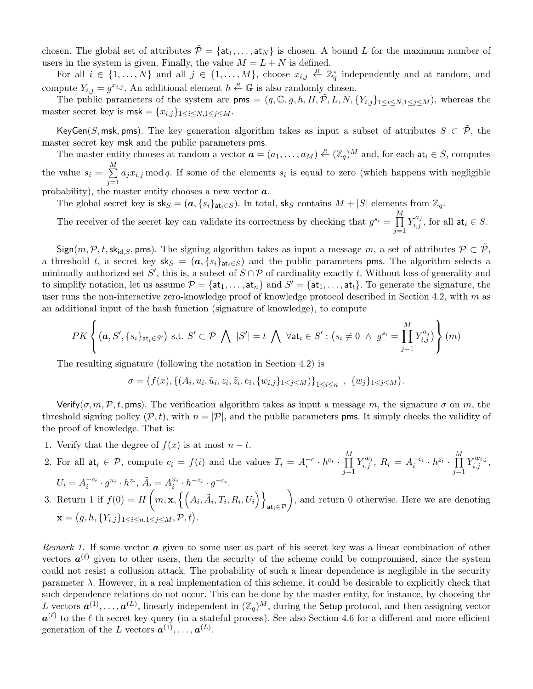chosen. The global set of attributes  $\tilde{\mathcal{P}} = \{at_1, \ldots, at_N\}$  is chosen. A bound L for the maximum number of users in the system is given. Finally, the value  $M = L + N$  is defined.

For all  $i \in \{1, ..., N\}$  and all  $j \in \{1, ..., M\}$ , choose  $x_{i,j} \notin \mathbb{Z}_q^*$  independently and at random, and compute  $Y_{i,j} = g^{x_{i,j}}$ . An additional element  $h \stackrel{R}{\leftarrow} \mathbb{G}$  is also randomly chosen.

The public parameters of the system are  $\mathsf{pms} = (q, \mathbb{G}, g, h, H, \tilde{\mathcal{P}}, L, N, \{Y_{i,j}\}_{1 \leq i \leq N, 1 \leq j \leq M})$ , whereas the master secret key is  $\text{msk} = \{x_{i,j}\}_{1 \leq i \leq N, 1 \leq j \leq M}$ .

KeyGen(S, msk, pms). The key generation algorithm takes as input a subset of attributes  $S \subset \tilde{\mathcal{P}}$ , the master secret key msk and the public parameters pms.

The master entity chooses at random a vector  $\boldsymbol{a} = (a_1, \ldots, a_M) \stackrel{R}{\leftarrow} (\mathbb{Z}_q)^M$  and, for each  $\mathsf{at}_i \in S$ , computes the value  $s_i = \sum_{i=1}^{M}$  $j=1$  $a_j x_{i,j}$  mod q. If some of the elements  $s_i$  is equal to zero (which happens with negligible

probability), the master entity chooses a new vector  $\boldsymbol{a}$ .

The global secret key is  $sk_S = (a, \{s_i\}_{at_i \in S})$ . In total,  $sk_S$  contains  $M + |S|$  elements from  $\mathbb{Z}_q$ .

The receiver of the secret key can validate its correctness by checking that  $g^{s_i} = \prod^M$  $j=1$  $Y_{i,j}^{a_j}$ , for all  $\mathsf{at}_i \in S$ .

 $Sign(m, \mathcal{P}, t, sk_{id,S}, pms)$ . The signing algorithm takes as input a message m, a set of attributes  $\mathcal{P} \subset \tilde{\mathcal{P}}$ , a threshold t, a secret key  $sk_S = (a, \{s_i\}_{at_i \in S})$  and the public parameters pms. The algorithm selects a minimally authorized set S', this is, a subset of  $S \cap P$  of cardinality exactly t. Without loss of generality and to simplify notation, let us assume  $\mathcal{P} = \{\texttt{at}_1, \ldots, \texttt{at}_n\}$  and  $S' = \{\texttt{at}_1, \ldots, \texttt{at}_t\}$ . To generate the signature, the user runs the non-interactive zero-knowledge proof of knowledge protocol described in Section 4.2, with  $m$  as an additional input of the hash function (signature of knowledge), to compute

$$
PK\left\{(\boldsymbol{a},S',\{s_i\}_{\text{at}_i\in S'})\text{ s.t. }S'\subset\mathcal{P}\bigwedge|S'|=t\bigwedge\forall\text{at}_i\in S':\left(s_i\neq 0\;\wedge\;g^{s_i}=\prod_{j=1}^M Y_{i,j}^{a_j}\right)\right\}(m)
$$

The resulting signature (following the notation in Section 4.2) is

$$
\sigma = (f(x), \{(A_i, u_i, \tilde{u}_i, z_i, \tilde{z}_i, e_i, \{w_{i,j}\}_{1 \leq j \leq M})\}_{1 \leq i \leq n}, \{w_j\}_{1 \leq j \leq M}).
$$

Verify( $\sigma, m, \mathcal{P}, t$ , pms). The verification algorithm takes as input a message m, the signature  $\sigma$  on m, the threshold signing policy  $(\mathcal{P}, t)$ , with  $n = |\mathcal{P}|$ , and the public parameters pms. It simply checks the validity of the proof of knowledge. That is:

1. Verify that the degree of  $f(x)$  is at most  $n - t$ .

2. For all 
$$
\mathsf{at}_i \in \mathcal{P}
$$
, compute  $c_i = f(i)$  and the values  $T_i = A_i^{-c} \cdot h^{e_i} \cdot \prod_{j=1}^M Y_{i,j}^{w_j}$ ,  $R_i = A_i^{-c_i} \cdot h^{z_i} \cdot \prod_{j=1}^M Y_{i,j}^{w_{i,j}}$ ,

$$
U_i = A_i^{-c_i} \cdot g^{u_i} \cdot h^{z_i}, \tilde{A}_i = A_i^{\tilde{u}_i} \cdot h^{-\tilde{z}_i} \cdot g^{-c_i}.
$$
  
3. Return 1 if  $f(0) = H\left(m, \mathbf{x}, \left\{ \left(A_i, \tilde{A}_i, T_i, R_i, U_i\right)\right\}_{\mathbf{at}_i \in \mathcal{P}}\right)$ , and return 0 otherwise. Here we are denoting  $\mathbf{x} = (g, h, \{Y_{i,j}\}_{1 \le i \le n, 1 \le j \le M}, \mathcal{P}, t).$ 

Remark 1. If some vector  $a$  given to some user as part of his secret key was a linear combination of other vectors  $a^{(\ell)}$  given to other users, then the security of the scheme could be compromised, since the system could not resist a collusion attack. The probability of such a linear dependence is negligible in the security parameter  $\lambda$ . However, in a real implementation of this scheme, it could be desirable to explicitly check that such dependence relations do not occur. This can be done by the master entity, for instance, by choosing the L vectors  $a^{(1)}, \ldots, a^{(L)}$ , linearly independent in  $(\mathbb{Z}_q)^M$ , during the Setup protocol, and then assigning vector  $a^{(\ell)}$  to the  $\ell$ -th secret key query (in a stateful process). See also Section 4.6 for a different and more efficient generation of the L vectors  $a^{(1)}, \ldots, a^{(L)}$ .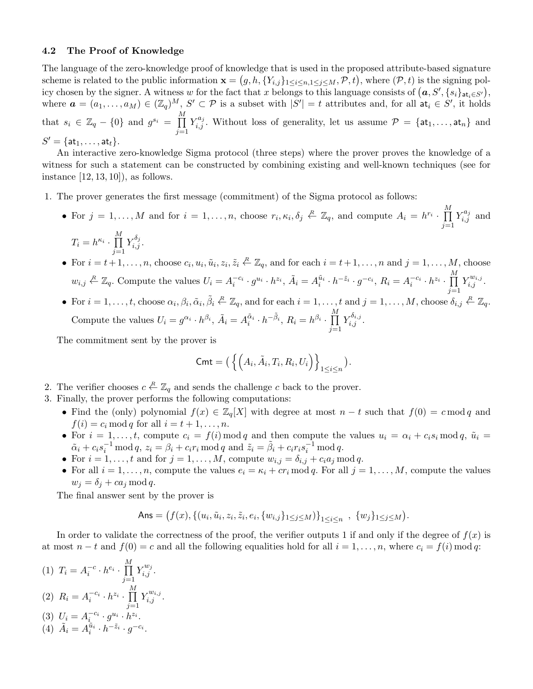#### 4.2 The Proof of Knowledge

The language of the zero-knowledge proof of knowledge that is used in the proposed attribute-based signature scheme is related to the public information  $\mathbf{x} = (g, h, \{Y_{i,j}\}_{1 \leq i \leq n, 1 \leq j \leq M}, \mathcal{P}, t)$ , where  $(\mathcal{P}, t)$  is the signing policy chosen by the signer. A witness w for the fact that x belongs to this language consists of  $(a, S', \{s_i\}_{\text{at}_i \in S'})$ , where  $\mathbf{a} = (a_1, \ldots, a_M) \in (\mathbb{Z}_q)^M$ ,  $S' \subset \mathcal{P}$  is a subset with  $|S'| = t$  attributes and, for all  $\mathsf{at}_i \in S'$ , it holds that  $s_i \in \mathbb{Z}_q - \{0\}$  and  $g^{s_i} = \prod^M$  $j=1$  $Y_{i,j}^{a_j}$ . Without loss of generality, let us assume  $\mathcal{P} = {\mathsf{at}_1, \ldots, \mathsf{at}_n}$  and  $S' = \{\mathsf{at}_1, \ldots, \mathsf{at}_t\}.$ 

An interactive zero-knowledge Sigma protocol (three steps) where the prover proves the knowledge of a witness for such a statement can be constructed by combining existing and well-known techniques (see for instance  $[12, 13, 10]$ , as follows.

- 1. The prover generates the first message (commitment) of the Sigma protocol as follows:
	- For  $j = 1, ..., M$  and for  $i = 1, ..., n$ , choose  $r_i, \kappa_i, \delta_j \stackrel{R}{\leftarrow} \mathbb{Z}_q$ , and compute  $A_i = h^{r_i} \cdot \prod_{i=1}^{M}$  $j=1$  $Y_{i,j}^{a_j}$  and  $\cal M$

$$
T_i = h^{\kappa_i} \cdot \prod_{j=1}^m Y_{i,j}^{\delta_j}.
$$

• For  $i = t+1, \ldots, n$ , choose  $c_i, u_i, \tilde{u}_i, z_i, \tilde{z}_i \stackrel{R}{\leftarrow} \mathbb{Z}_q$ , and for each  $i = t+1, \ldots, n$  and  $j = 1, \ldots, M$ , choose  $w_{i,j} \stackrel{R}{\leftarrow} \mathbb{Z}_q$ . Compute the values  $U_i = A_i^{-c_i} \cdot g^{u_i} \cdot h^{z_i}$ ,  $\tilde{A}_i = A_i^{\tilde{u}_i} \cdot h^{-\tilde{z}_i} \cdot g^{-c_i}$ ,  $R_i = A_i^{-c_i} \cdot h^{z_i} \cdot \prod_{i=1}^M A_i^{-\tilde{z}_i}$  $Y_{i,j}^{w_{i,j}}$ .

• For  $i = 1, \ldots, t$ , choose  $\alpha_i, \beta_i, \tilde{\alpha}_i, \tilde{\beta}_i \stackrel{R}{\leftarrow} \mathbb{Z}_q$ , and for each  $i = 1, \ldots, t$  and  $j = 1, \ldots, M$ , choose  $\delta_{i,j} \stackrel{R}{\leftarrow} \mathbb{Z}_q$ . Compute the values  $U_i = g^{\alpha_i} \cdot h^{\beta_i}$ ,  $\tilde{A}_i = A_i^{\tilde{\alpha}_i} \cdot h^{-\tilde{\beta}_i}$ ,  $R_i = h^{\beta_i} \cdot \prod_{i=1}^{M}$  $j=1$  $Y_{i,j}^{\delta_{i,j}}.$ 

 $j=1$ 

The commitment sent by the prover is

$$
\mathsf{Cmt} = \left( \left\{ \left( A_i, \tilde{A}_i, T_i, R_i, U_i \right) \right\}_{1 \leq i \leq n} \right).
$$

- 2. The verifier chooses  $c \stackrel{R}{\leftarrow} \mathbb{Z}_q$  and sends the challenge c back to the prover.
- 3. Finally, the prover performs the following computations:
	- Find the (only) polynomial  $f(x) \in \mathbb{Z}_q[X]$  with degree at most  $n-t$  such that  $f(0) = c \mod q$  and  $f(i) = c_i \mod q$  for all  $i = t + 1, \ldots, n$ .
	- For  $i = 1, \ldots, t$ , compute  $c_i = f(i) \mod q$  and then compute the values  $u_i = \alpha_i + c_i s_i \mod q$ ,  $\tilde{u}_i =$  $\tilde{\alpha}_i + c_i s_i^{-1} \mod q, \ z_i = \beta_i + c_i r_i \mod q \text{ and } \tilde{z}_i = \tilde{\beta}_i + c_i r_i s_i^{-1} \mod q.$
	- For  $i = 1, \ldots, t$  and for  $j = 1, \ldots, M$ , compute  $w_{i,j} = \delta_{i,j} + c_i a_j \mod q$ .
	- For all  $i = 1, \ldots, n$ , compute the values  $e_i = \kappa_i + cr_i \mod q$ . For all  $j = 1, \ldots, M$ , compute the values  $w_j = \delta_j + ca_j \mod q.$

The final answer sent by the prover is

Ans = 
$$
(f(x), \{(u_i, \tilde{u}_i, z_i, \tilde{z}_i, e_i, \{w_{i,j}\}_{1 \leq j \leq M})\}_{1 \leq i \leq n}
$$
,  $\{w_j\}_{1 \leq j \leq M}$ ).

In order to validate the correctness of the proof, the verifier outputs 1 if and only if the degree of  $f(x)$  is at most  $n - t$  and  $f(0) = c$  and all the following equalities hold for all  $i = 1, \ldots, n$ , where  $c_i = f(i) \mod q$ :

(1) 
$$
T_i = A_i^{-c} \cdot h^{e_i} \cdot \prod_{j=1}^{M} Y_{i,j}^{w_j}
$$
.  
\n(2)  $B = A^{-c_i} h^{z_i} \prod_{i=1}^{M} X^{w_{i,j}}$ 

(2) 
$$
R_i = A_i^{-c_i} \cdot h^{z_i} \cdot \prod_{j=1}^{n} Y_{i,j}^{w_{i,j}}.
$$

(3) 
$$
U_i = A_i^{-c_i} \cdot g^{u_i} \cdot h^{z_i}
$$
.  
\n(4)  $\tilde{A}_i = A_i^{\tilde{u}_i} \cdot h^{-\tilde{z}_i} \cdot g^{-c_i}$ .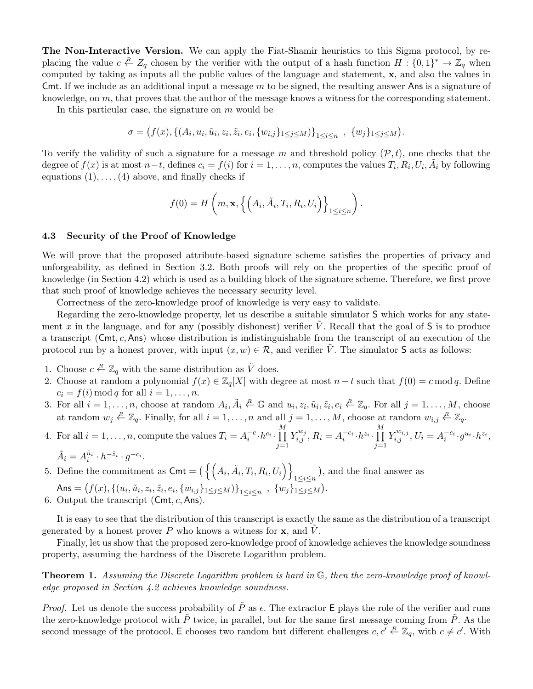The Non-Interactive Version. We can apply the Fiat-Shamir heuristics to this Sigma protocol, by replacing the value  $c \stackrel{R}{\leftarrow} Z_q$  chosen by the verifier with the output of a hash function  $H: \{0,1\}^* \to \mathbb{Z}_q$  when computed by taking as inputs all the public values of the language and statement, x, and also the values in Cmt. If we include as an additional input a message  $m$  to be signed, the resulting answer Ans is a signature of knowledge, on m, that proves that the author of the message knows a witness for the corresponding statement.

In this particular case, the signature on  $m$  would be

$$
\sigma = (f(x), \{(A_i, u_i, \tilde{u}_i, z_i, \tilde{z}_i, e_i, \{w_{i,j}\}_{1 \leq j \leq M})\}_{1 \leq i \leq n}, \{w_j\}_{1 \leq j \leq M}).
$$

To verify the validity of such a signature for a message m and threshold policy  $(\mathcal{P}, t)$ , one checks that the degree of  $f(x)$  is at most  $n-t$ , defines  $c_i = f(i)$  for  $i = 1, \ldots, n$ , computes the values  $T_i, R_i, U_i, \tilde{A}_i$  by following equations  $(1), \ldots, (4)$  above, and finally checks if

$$
f(0) = H\left(m, \mathbf{x}, \left\{ \left(A_i, \tilde{A}_i, T_i, R_i, U_i\right)\right\}_{1 \leq i \leq n} \right)
$$

.

## 4.3 Security of the Proof of Knowledge

We will prove that the proposed attribute-based signature scheme satisfies the properties of privacy and unforgeability, as defined in Section 3.2. Both proofs will rely on the properties of the specific proof of knowledge (in Section 4.2) which is used as a building block of the signature scheme. Therefore, we first prove that such proof of knowledge achieves the necessary security level.

Correctness of the zero-knowledge proof of knowledge is very easy to validate.

Regarding the zero-knowledge property, let us describe a suitable simulator S which works for any statement x in the language, and for any (possibly dishonest) verifier V. Recall that the goal of  $S$  is to produce a transcript  $(Cmt, c, Ans)$  whose distribution is indistinguishable from the transcript of an execution of the protocol run by a honest prover, with input  $(x, w) \in \mathcal{R}$ , and verifier V. The simulator S acts as follows:

- 1. Choose  $c \stackrel{R}{\leftarrow} \mathbb{Z}_q$  with the same distribution as  $\tilde{V}$  does.
- 2. Choose at random a polynomial  $f(x) \in \mathbb{Z}_q[X]$  with degree at most  $n-t$  such that  $f(0) = c \mod q$ . Define  $c_i = f(i) \mod q$  for all  $i = 1, \ldots, n$ .
- 3. For all  $i = 1, \ldots, n$ , choose at random  $A_i, \tilde{A}_i \stackrel{R}{\leftarrow} \mathbb{G}$  and  $u_i, z_i, \tilde{u}_i, \tilde{z}_i, e_i \stackrel{R}{\leftarrow} \mathbb{Z}_q$ . For all  $j = 1, \ldots, M$ , choose at random  $w_j \stackrel{R}{\leftarrow} \mathbb{Z}_q$ . Finally, for all  $i = 1, \ldots, n$  and all  $j = 1, \ldots, M$ , choose at random  $w_{i,j} \stackrel{R}{\leftarrow} \mathbb{Z}_q$ .

4. For all 
$$
i = 1, ..., n
$$
, compute the values  $T_i = A_i^{-c} \cdot h^{e_i} \cdot \prod_{j=1}^M Y_{i,j}^{w_j}, R_i = A_i^{-c_i} \cdot h^{z_i} \cdot \prod_{j=1}^M Y_{i,j}^{w_{i,j}}, U_i = A_i^{-c_i} \cdot g^{u_i} \cdot h^{z_i},$   
\n $\tilde{A} \cdot A_i = A_i^{\tilde{u}_i} \cdot h^{-\tilde{z}_i} \cdot g^{-c_i}$ 

$$
\tilde{A}_i = A_i^{\tilde{u}_i} \cdot h^{-\tilde{z}_i} \cdot g^{-c_i}.
$$

5. Define the commitment as  $\mathsf{Cmt} = \left( \left\{ \left( A_i, \tilde{A}_i, T_i, R_i, U_i \right) \right\} \right)$  $\sum_{1 \leq i \leq n}$ , and the final answer as

- Ans =  $(f(x), \{(u_i, \tilde{u}_i, z_i, \tilde{z}_i, e_i, \{w_{i,j}\}_{1 \leq j \leq M})\}_{1 \leq i \leq n}$ ,  $\{w_j\}_{1 \leq j \leq M}$ ).
- 6. Output the transcript  $(Cmt, c, Ans)$ .

It is easy to see that the distribution of this transcript is exactly the same as the distribution of a transcript generated by a honest prover  $P$  who knows a witness for  $x$ , and  $\overline{V}$ .

Finally, let us show that the proposed zero-knowledge proof of knowledge achieves the knowledge soundness property, assuming the hardness of the Discrete Logarithm problem.

Theorem 1. Assuming the Discrete Logarithm problem is hard in G, then the zero-knowledge proof of knowledge proposed in Section 4.2 achieves knowledge soundness.

*Proof.* Let us denote the success probability of  $\tilde{P}$  as  $\epsilon$ . The extractor E plays the role of the verifier and runs the zero-knowledge protocol with  $\tilde{P}$  twice, in parallel, but for the same first message coming from  $\tilde{P}$ . As the second message of the protocol, E chooses two random but different challenges  $c, c' \stackrel{R}{\leftarrow} \mathbb{Z}_q$ , with  $c \neq c'$ . With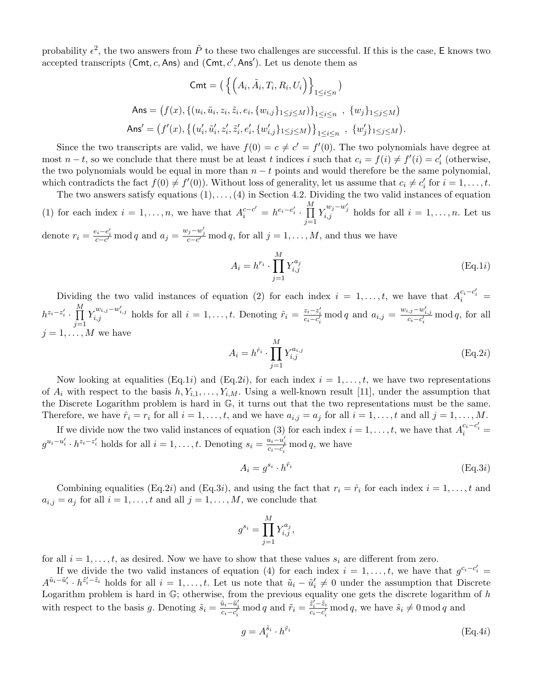probability  $\epsilon^2$ , the two answers from  $\tilde{P}$  to these two challenges are successful. If this is the case, E knows two accepted transcripts (Cmt, c, Ans) and (Cmt,  $c'$ , Ans'). Let us denote them as

$$
\mathsf{Cmt} = \left( \left\{ \left( A_i, \tilde{A}_i, T_i, R_i, U_i \right) \right\}_{1 \le i \le n} \right)
$$
\n
$$
\mathsf{Ans} = \left( f(x), \left\{ (u_i, \tilde{u}_i, z_i, \tilde{z}_i, e_i, \{w_{i,j}\}_{1 \le j \le M}) \right\}_{1 \le i \le n} , \{w_j\}_{1 \le j \le M} \right)
$$
\n
$$
\mathsf{Ans}' = \left( f'(x), \left\{ \left( u'_i, \tilde{u}'_i, z'_i, \tilde{z}'_i, e'_i, \{w'_{i,j}\}_{1 \le j \le M} \right) \right\}_{1 \le i \le n} , \{w'_j\}_{1 \le j \le M} \right).
$$

Since the two transcripts are valid, we have  $f(0) = c \neq c' = f'(0)$ . The two polynomials have degree at most  $n-t$ , so we conclude that there must be at least t indices i such that  $c_i = f(i) \neq f'(i) = c'_i$  (otherwise, the two polynomials would be equal in more than  $n - t$  points and would therefore be the same polynomial, which contradicts the fact  $f(0) \neq f'(0)$ . Without loss of generality, let us assume that  $c_i \neq c'_i$  for  $i = 1, \ldots, t$ .

The two answers satisfy equations  $(1), \ldots, (4)$  in Section 4.2. Dividing the two valid instances of equation (1) for each index  $i = 1, ..., n$ , we have that  $A_i^{c-c'} = h^{e_i-e'_i} \cdot \prod_{i=1}^{M}$  $j=1$  $Y_{i,j}^{w_j-w'_j}$  holds for all  $i=1,\ldots,n$ . Let us

denote  $r_i = \frac{e_i - e'_i}{c - c'}$  mod q and  $a_j = \frac{w_j - w'_j}{c - c'}$  mod q, for all  $j = 1, ..., M$ , and thus we have

$$
A_i = h^{r_i} \cdot \prod_{j=1}^{M} Y_{i,j}^{a_j}
$$
 (Eq.1*i*)

Dividing the two valid instances of equation (2) for each index  $i = 1, \ldots, t$ , we have that  $A_i^{c_i - c'_i} =$  $h^{z_i-z'_i} \cdot \prod^{M}$  $j=1$  $Y_{i,j}^{w_{i,j}-w'_{i,j}}$  holds for all  $i=1,\ldots,t$ . Denoting  $\hat{r}_i = \frac{z_i-z'_i}{c_i-c'_i}$  mod q and  $a_{i,j} = \frac{w_{i,j}-w'_{i,j}}{c_i-c'_i}$  mod q, for all  $i = 1, \ldots, M$  we have

$$
A_i = h^{\hat{r}_i} \cdot \prod_{j=1}^{M} Y_{i,j}^{a_{i,j}} \tag{Eq.2i}
$$

Now looking at equalities (Eq.1*i*) and (Eq.2*i*), for each index  $i = 1, \ldots, t$ , we have two representations of  $A_i$  with respect to the basis  $h, Y_{i,1}, \ldots, Y_{i,M}$ . Using a well-known result [11], under the assumption that the Discrete Logarithm problem is hard in G, it turns out that the two representations must be the same. Therefore, we have  $\hat{r}_i = r_i$  for all  $i = 1, \ldots, t$ , and we have  $a_{i,j} = a_j$  for all  $i = 1, \ldots, t$  and all  $j = 1, \ldots, M$ .

If we divide now the two valid instances of equation (3) for each index  $i = 1, \ldots, t$ , we have that  $A_i^{c_i - c'_i} =$  $g^{u_i-u'_i} \cdot h^{z_i-z'_i}$  holds for all  $i=1,\ldots,t$ . Denoting  $s_i = \frac{u_i-u'_i}{c_i-c'_i}$  mod q, we have

$$
A_i = g^{s_i} \cdot h^{\hat{r}_i} \tag{Eq.3i}
$$

Combining equalities (Eq.2*i*) and (Eq.3*i*), and using the fact that  $r_i = \hat{r}_i$  for each index  $i = 1, \ldots, t$  and  $a_{i,j} = a_j$  for all  $i = 1, \ldots, t$  and all  $j = 1, \ldots, M$ , we conclude that

$$
g^{s_i} = \prod_{j=1}^{M} Y_{i,j}^{a_j},
$$

for all  $i = 1, \ldots, t$ , as desired. Now we have to show that these values  $s_i$  are different from zero.

If we divide the two valid instances of equation (4) for each index  $i = 1, \ldots, t$ , we have that  $g^{c_i - c'_i} =$  $A^{\tilde{u}_i-\tilde{u}'_i} \cdot h^{\tilde{z}'_i-\tilde{z}_i}$  holds for all  $i=1,\ldots,t$ . Let us note that  $\tilde{u}_i-\tilde{u}'_i\neq 0$  under the assumption that Discrete Logarithm problem is hard in  $\mathbb{G}$ ; otherwise, from the previous equality one gets the discrete logarithm of  $h$ with respect to the basis g. Denoting  $\tilde{s}_i = \frac{\tilde{u}_i - \tilde{u}'_i}{c_i - c'_i} \mod q$  and  $\tilde{r}_i = \frac{\tilde{z}'_i - \tilde{z}_i}{c_i - c'_i}$  $\frac{z_i-z_i}{c_i-c'_i}$  mod q, we have  $\tilde{s}_i \neq 0 \mod q$  and

$$
g = A_i^{\tilde{s}_i} \cdot h^{\tilde{r}_i} \tag{Eq.4i}
$$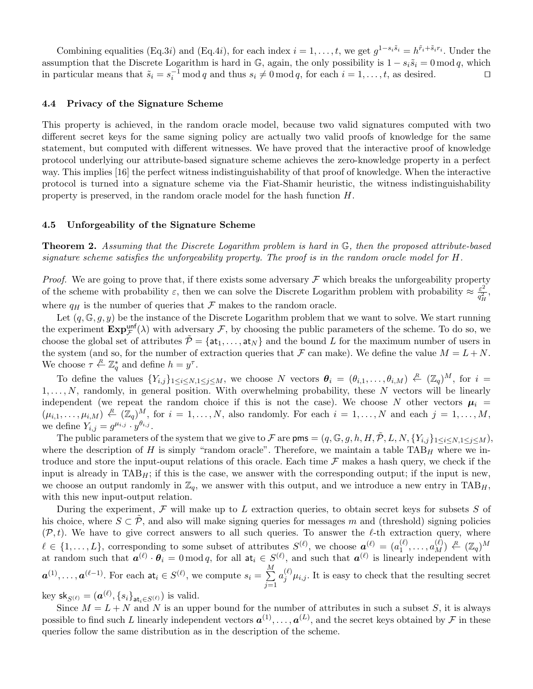Combining equalities (Eq.3*i*) and (Eq.4*i*), for each index  $i = 1, \ldots, t$ , we get  $g^{1-s_i\tilde{s}_i} = h^{\tilde{r}_i + \tilde{s}_i r_i}$ . Under the assumption that the Discrete Logarithm is hard in  $\mathbb{G}$ , again, the only possibility is  $1 - s_i \tilde{s}_i = 0 \mod q$ , which in particular means that  $\tilde{s}_i = s_i^{-1} \mod q$  and thus  $s_i \neq 0 \mod q$ , for each  $i = 1, \ldots, t$ , as desired.

#### 4.4 Privacy of the Signature Scheme

This property is achieved, in the random oracle model, because two valid signatures computed with two different secret keys for the same signing policy are actually two valid proofs of knowledge for the same statement, but computed with different witnesses. We have proved that the interactive proof of knowledge protocol underlying our attribute-based signature scheme achieves the zero-knowledge property in a perfect way. This implies [16] the perfect witness indistinguishability of that proof of knowledge. When the interactive protocol is turned into a signature scheme via the Fiat-Shamir heuristic, the witness indistinguishability property is preserved, in the random oracle model for the hash function H.

## 4.5 Unforgeability of the Signature Scheme

Theorem 2. Assuming that the Discrete Logarithm problem is hard in G, then the proposed attribute-based signature scheme satisfies the unforgeability property. The proof is in the random oracle model for H.

*Proof.* We are going to prove that, if there exists some adversary  $\mathcal F$  which breaks the unforgeability property of the scheme with probability  $\varepsilon$ , then we can solve the Discrete Logarithm problem with probability  $\approx \frac{\varepsilon^2}{\sigma^2}$  $\frac{\varepsilon^2}{q_H^2},$ where  $q_H$  is the number of queries that  $\mathcal F$  makes to the random oracle.

Let  $(q, \mathbb{G}, g, y)$  be the instance of the Discrete Logarithm problem that we want to solve. We start running the experiment  $\mathbf{Exp}_{\mathcal{F}}^{\text{unf}}(\lambda)$  with adversary  $\mathcal{F}$ , by choosing the public parameters of the scheme. To do so, we choose the global set of attributes  $\tilde{\mathcal{P}} = \{at_1, \ldots, at_N\}$  and the bound L for the maximum number of users in the system (and so, for the number of extraction queries that  $\mathcal F$  can make). We define the value  $M = L + N$ . We choose  $\tau \stackrel{R}{\leftarrow} \mathbb{Z}_q^*$  and define  $h = y^{\tau}$ .

To define the values  $\{Y_{i,j}\}_{1\leq i\leq N,1\leq j\leq M}$ , we choose N vectors  $\theta_i = (\theta_{i,1},\ldots,\theta_{i,M}) \stackrel{R}{\leftarrow} (\mathbb{Z}_q)^M$ , for  $i =$  $1, \ldots, N$ , randomly, in general position. With overwhelming probability, these N vectors will be linearly independent (we repeat the random choice if this is not the case). We choose N other vectors  $\mu_i$  =  $(\mu_{i,1},\ldots,\mu_{i,M}) \stackrel{R}{\leftarrow} (\mathbb{Z}_q)^M$ , for  $i=1,\ldots,N$ , also randomly. For each  $i=1,\ldots,N$  and each  $j=1,\ldots,M$ , we define  $Y_{i,j} = g^{\mu_{i,j}} \cdot y^{\theta_{i,j}}$ .

The public parameters of the system that we give to F are  $\mathsf{pms} = (q, \mathbb{G}, g, h, H, \tilde{\mathcal{P}}, L, N, \{Y_{i,j}\}_{1 \leq i \leq N, 1 \leq j \leq M})$ , where the description of H is simply "random oracle". Therefore, we maintain a table  $TAB_H$  where we introduce and store the input-ouput relations of this oracle. Each time  $\mathcal F$  makes a hash query, we check if the input is already in  $TAB_H$ ; if this is the case, we answer with the corresponding output; if the input is new, we choose an output randomly in  $\mathbb{Z}_q$ , we answer with this output, and we introduce a new entry in TAB<sub>H</sub>, with this new input-output relation.

During the experiment,  $\mathcal F$  will make up to L extraction queries, to obtain secret keys for subsets  $S$  of his choice, where  $S \subset \tilde{\mathcal{P}}$ , and also will make signing queries for messages m and (threshold) signing policies  $(\mathcal{P}, t)$ . We have to give correct answers to all such queries. To answer the  $\ell$ -th extraction query, where  $\ell \in \{1, \ldots, L\}$ , corresponding to some subset of attributes  $S^{(\ell)}$ , we choose  $\boldsymbol{a}^{(\ell)} = (a_1^{(\ell)})$  $\binom{\ell}{1}, \ldots, a_M^{(\ell)} \} \stackrel{R}{\leftarrow} (\mathbb{Z}_q)^M$ at random such that  $a^{(\ell)} \cdot \theta_i = 0 \mod q$ , for all  $a_i \in S^{(\ell)}$ , and such that  $a^{(\ell)}$  is linearly independent with  $\boldsymbol{a}^{(1)}, \ldots, \boldsymbol{a}^{(\ell-1)}$ . For each  $\mathsf{at}_i \in S^{(\ell)}$ , we compute  $s_i = \sum_{i=1}^{M}$  $j=1$  $a_j^{(\ell)}\mu_{i,j}$ . It is easy to check that the resulting secret

key sk<sub>S( $\ell$ )</sub> =  $(\boldsymbol{a}^{(\ell)}, \{s_i\}_{\mathtt{at}_i \in S^{(\ell)}})$  is valid.

Since  $M = L + N$  and N is an upper bound for the number of attributes in such a subset S, it is always possible to find such L linearly independent vectors  $a^{(1)}, \ldots, a^{(L)}$ , and the secret keys obtained by F in these queries follow the same distribution as in the description of the scheme.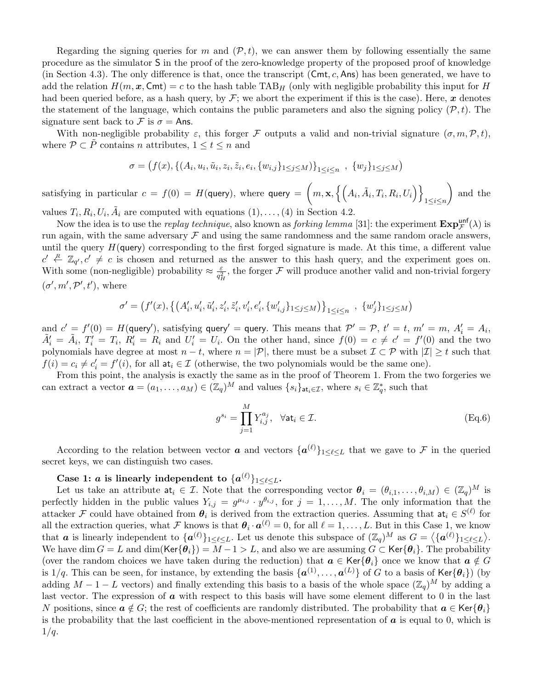Regarding the signing queries for m and  $(\mathcal{P}, t)$ , we can answer them by following essentially the same procedure as the simulator S in the proof of the zero-knowledge property of the proposed proof of knowledge (in Section 4.3). The only difference is that, once the transcript  $(Cmt, c, Ans)$  has been generated, we have to add the relation  $H(m, x, \text{Cmt}) = c$  to the hash table TAB<sub>H</sub> (only with negligible probability this input for H had been queried before, as a hash query, by  $\mathcal{F}$ ; we abort the experiment if this is the case). Here, x denotes the statement of the language, which contains the public parameters and also the signing policy  $(\mathcal{P}, t)$ . The signature sent back to  $\mathcal F$  is  $\sigma = A$ ns.

With non-negligible probability  $\varepsilon$ , this forger F outputs a valid and non-trivial signature  $(\sigma, m, \mathcal{P}, t)$ , where  $\mathcal{P} \subset \tilde{P}$  contains n attributes,  $1 \leq t \leq n$  and

$$
\sigma = (f(x), \{(A_i, u_i, \tilde{u}_i, z_i, \tilde{z}_i, e_i, \{w_{i,j}\}_{1 \leq j \leq M})\}_{1 \leq i \leq n}, \{w_j\}_{1 \leq j \leq M})
$$

satisfying in particular  $c = f(0) = H(\textsf{query}),$  where  $\textsf{query} = \Big(m, \mathbf{x}, \left\{\Big(A_i, \tilde{A}_i, T_i, R_i, U_i\Big)\right\}$  $1\leq i\leq n$ and the

values  $T_i, R_i, U_i, \tilde{A}_i$  are computed with equations  $(1), \ldots, (4)$  in Section 4.2.

Now the idea is to use the *replay technique*, also known as *forking lemma* [31]: the experiment  $\mathbf{Exp}_{\mathcal{F}}^{\text{unf}}(\lambda)$  is run again, with the same adversary  $\mathcal F$  and using the same randomness and the same random oracle answers, until the query  $H$ (query) corresponding to the first forged signature is made. At this time, a different value  $c' \stackrel{R}{\leftarrow} \mathbb{Z}_{q'}$ ,  $c' \neq c$  is chosen and returned as the answer to this hash query, and the experiment goes on. With some (non-negligible) probability  $\approx \frac{\varepsilon}{c^2}$  $\frac{\varepsilon}{q_H^2}$ , the forger  $\mathcal F$  will produce another valid and non-trivial forgery  $(\sigma', m', \mathcal{P}', t')$ , where

$$
\sigma' = \left(f'(x), \left\{\left(A'_i, u'_i, \tilde{u}'_i, z'_i, \tilde{z}'_i, v'_i, e'_i, \{w'_{i,j}\}_{1 \leq j \leq M}\right)\right\}_{1 \leq i \leq n} , \ \{w'_j\}_{1 \leq j \leq M} \right)
$$

and  $c' = f'(0) = H$ (query'), satisfying query' = query. This means that  $\mathcal{P}' = \mathcal{P}$ ,  $t' = t$ ,  $m' = m$ ,  $A'_i = A_i$ ,  $\tilde{A}'_i = \tilde{A}_i, T'_i = T_i, R'_i = R_i$  and  $U'_i = U_i$ . On the other hand, since  $f(0) = c \neq c' = f'(0)$  and the two polynomials have degree at most  $n - t$ , where  $n = |\mathcal{P}|$ , there must be a subset  $\mathcal{I} \subset \mathcal{P}$  with  $|\mathcal{I}| \geq t$  such that  $f(i) = c_i \neq c'_i = f'(i)$ , for all  $at_i \in \mathcal{I}$  (otherwise, the two polynomials would be the same one).

From this point, the analysis is exactly the same as in the proof of Theorem 1. From the two forgeries we can extract a vector  $\boldsymbol{a} = (a_1, \ldots, a_M) \in (\mathbb{Z}_q)^M$  and values  $\{s_i\}_{\mathtt{at}_i \in \mathcal{I}}$ , where  $s_i \in \mathbb{Z}_q^*$ , such that

$$
g^{s_i} = \prod_{j=1}^{M} Y_{i,j}^{a_j}, \quad \forall \mathsf{at}_i \in \mathcal{I}.\tag{Eq.6}
$$

According to the relation between vector  $\boldsymbol{a}$  and vectors  $\{\boldsymbol{a}^{(\ell)}\}_{1\leq \ell \leq L}$  that we gave to  $\mathcal F$  in the queried secret keys, we can distinguish two cases.

## Case 1:  $a$  is linearly independent to  $\{a^{(\ell)}\}_{1\leq \ell \leq L}$ .

Let us take an attribute  $a t_i \in \mathcal{I}$ . Note that the corresponding vector  $\theta_i = (\theta_{i,1}, \ldots, \theta_{i,M}) \in (\mathbb{Z}_q)^M$  is perfectly hidden in the public values  $Y_{i,j} = g^{\mu_{i,j}} \cdot y^{\theta_{i,j}}$ , for  $j = 1, \ldots, M$ . The only information that the attacker F could have obtained from  $\theta_i$  is derived from the extraction queries. Assuming that  $at_i \in S^{(\ell)}$  for all the extraction queries, what F knows is that  $\theta_i \cdot a^{(\ell)} = 0$ , for all  $\ell = 1, \ldots, L$ . But in this Case 1, we know that **a** is linearly independent to  $\{a^{(\ell)}\}_{1 \leq \ell \leq L}$ . Let us denote this subspace of  $(\mathbb{Z}_q)^M$  as  $G = \langle \{a^{(\ell)}\}_{1 \leq \ell \leq L} \rangle$ . We have dim  $G = L$  and dim(Ker $\{\theta_i\} = M - 1 > L$ , and also we are assuming  $G \subset \text{Ker}\{\theta_i\}$ . The probability (over the random choices we have taken during the reduction) that  $a \in \text{Ker}\{\theta_i\}$  once we know that  $a \notin G$ is 1/q. This can be seen, for instance, by extending the basis  $\{a^{(1)}, \ldots, a^{(L)}\}$  of G to a basis of Ker $\{\theta_i\}$ ) (by adding  $M-1-L$  vectors) and finally extending this basis to a basis of the whole space  $(\mathbb{Z}_q)^M$  by adding a last vector. The expression of  $\alpha$  with respect to this basis will have some element different to 0 in the last N positions, since  $a \notin G$ ; the rest of coefficients are randomly distributed. The probability that  $a \in \text{Ker}\{\theta_i\}$ is the probability that the last coefficient in the above-mentioned representation of  $\boldsymbol{a}$  is equal to 0, which is  $1/q$ .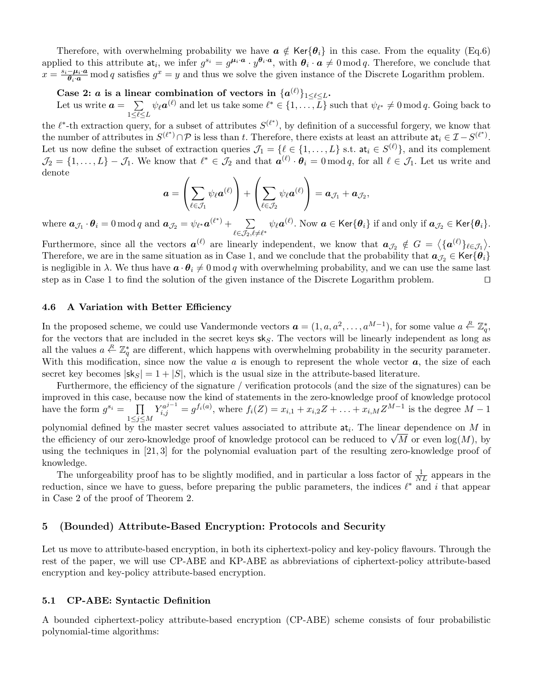Therefore, with overwhelming probability we have  $a \notin \text{Ker}\{\theta_i\}$  in this case. From the equality (Eq.6) applied to this attribute  $a_i$ , we infer  $g^{s_i} = g^{\mu_i \cdot a} \cdot y^{\theta_i \cdot a}$ , with  $\theta_i \cdot a \neq 0 \mod q$ . Therefore, we conclude that  $x = \frac{s_i - \mu_i \cdot a}{\theta_i \cdot a}$  mod q satisfies  $g^x = y$  and thus we solve the given instance of the Discrete Logarithm problem.

## Case 2: a is a linear combination of vectors in  $\{a^{(\ell)}\}_{1 \leq \ell \leq L}$ .

Let us write  $a = \sum$  $1 \leq \ell \leq L$  $\psi_{\ell} a^{(\ell)}$  and let us take some  $\ell^* \in \{1, \ldots, L\}$  such that  $\psi_{\ell^*} \neq 0 \mod q$ . Going back to

the  $\ell^*$ -th extraction query, for a subset of attributes  $S^{(\ell^*)}$ , by definition of a successful forgery, we know that the number of attributes in  $S^{(\ell^*)} \cap \mathcal{P}$  is less than t. Therefore, there exists at least an attribute  $at_i \in \mathcal{I} - S^{(\ell^*)}$ . Let us now define the subset of extraction queries  $\mathcal{J}_1 = \{ \ell \in \{1, \ldots, L\} \text{ s.t. at}_i \in S^{(\ell)} \}$ , and its complement  $\mathcal{J}_2 = \{1, \ldots, L\} - \mathcal{J}_1$ . We know that  $\ell^* \in \mathcal{J}_2$  and that  $\boldsymbol{a}^{(\ell)} \cdot \boldsymbol{\theta}_i = 0 \mod q$ , for all  $\ell \in \mathcal{J}_1$ . Let us write and denote

$$
\mathbf{a} = \left(\sum_{\ell \in \mathcal{J}_1} \psi_{\ell} \mathbf{a}^{(\ell)}\right) + \left(\sum_{\ell \in \mathcal{J}_2} \psi_{\ell} \mathbf{a}^{(\ell)}\right) = \mathbf{a}_{\mathcal{J}_1} + \mathbf{a}_{\mathcal{J}_2},
$$

where  $\boldsymbol{a}_{\mathcal{J}_1} \cdot \boldsymbol{\theta}_i = 0 \bmod q$  and  $\boldsymbol{a}_{\mathcal{J}_2} = \psi_{\ell^*} \boldsymbol{a}^{(\ell^*)} + \sum_{i=1}^N \ell^* \boldsymbol{a}_i$  $\sum_{\ell\in\mathcal{J}_2,\ell\neq\ell^*}\psi_{\ell}\bm{a}^{(\ell)}.$  Now  $\bm{a}\in\mathsf{Ker}\{\bm{\theta}_i\}$  if and only if  $\bm{a}_{\mathcal{J}_2}\in\mathsf{Ker}\{\bm{\theta}_i\}.$ 

Furthermore, since all the vectors  $a^{(\ell)}$  are linearly independent, we know that  $a_{\mathcal{J}_2} \notin G = \langle \{a^{(\ell)}\}_{\ell \in \mathcal{J}_1} \rangle$ . Therefore, we are in the same situation as in Case 1, and we conclude that the probability that  $a_{\mathcal{J}_2} \in \text{Ker}\{\theta_i\}$ is negligible in  $\lambda$ . We thus have  $\mathbf{a} \cdot \mathbf{\theta}_i \neq 0 \mod q$  with overwhelming probability, and we can use the same last step as in Case 1 to find the solution of the given instance of the Discrete Logarithm problem.  $\Box$ 

#### 4.6 A Variation with Better Efficiency

In the proposed scheme, we could use Vandermonde vectors  $\boldsymbol{a} = (1, a, a^2, \dots, a^{M-1})$ , for some value  $a \stackrel{R}{\leftarrow} \mathbb{Z}_q^*$ , for the vectors that are included in the secret keys  $sk_S$ . The vectors will be linearly independent as long as all the values  $a \stackrel{R}{\leftarrow} \mathbb{Z}_q^*$  are different, which happens with overwhelming probability in the security parameter. With this modification, since now the value  $a$  is enough to represent the whole vector  $a$ , the size of each secret key becomes  $|s k_S| = 1 + |S|$ , which is the usual size in the attribute-based literature.

Furthermore, the efficiency of the signature / verification protocols (and the size of the signatures) can be improved in this case, because now the kind of statements in the zero-knowledge proof of knowledge protocol have the form  $g^{s_i} = \prod$  $1\leq j \leq M$  $Y_{i,j}^{a^{j-1}} = g^{f_i(a)}$ , where  $f_i(Z) = x_{i,1} + x_{i,2}Z + \ldots + x_{i,M}Z^{M-1}$  is the degree  $M-1$ polynomial defined by the master secret values associated to attribute  $a t_i$ . The linear dependence on M in

polynomial defined by the master secret values associated to attribute  $a_i$ . The linear dependence on M in the efficiency of our zero-knowledge proof of knowledge protocol can be reduced to  $\sqrt{M}$  or even  $\log(M)$ , by using the techniques in [21, 3] for the polynomial evaluation part of the resulting zero-knowledge proof of knowledge.

The unforgeability proof has to be slightly modified, and in particular a loss factor of  $\frac{1}{NL}$  appears in the reduction, since we have to guess, before preparing the public parameters, the indices  $\ell^*$  and i that appear in Case 2 of the proof of Theorem 2.

## 5 (Bounded) Attribute-Based Encryption: Protocols and Security

Let us move to attribute-based encryption, in both its ciphertext-policy and key-policy flavours. Through the rest of the paper, we will use CP-ABE and KP-ABE as abbreviations of ciphertext-policy attribute-based encryption and key-policy attribute-based encryption.

#### 5.1 CP-ABE: Syntactic Definition

A bounded ciphertext-policy attribute-based encryption (CP-ABE) scheme consists of four probabilistic polynomial-time algorithms: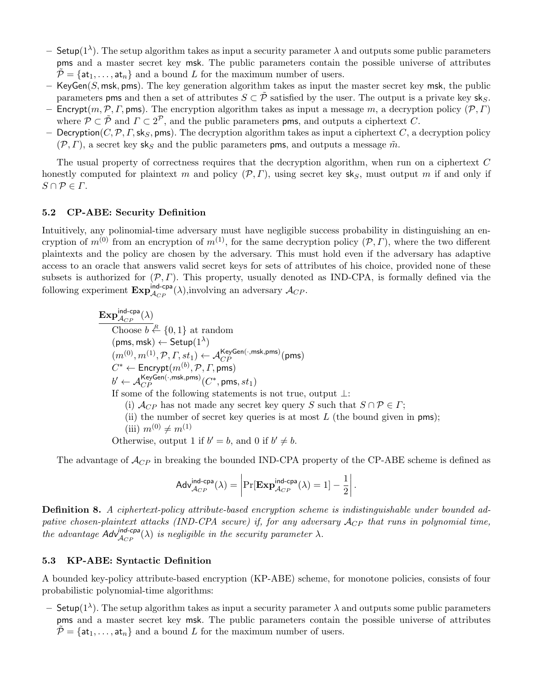- Setup(1<sup>λ</sup>). The setup algorithm takes as input a security parameter  $\lambda$  and outputs some public parameters pms and a master secret key msk. The public parameters contain the possible universe of attributes  $\mathcal{P} = \{at_1, \ldots, at_n\}$  and a bound L for the maximum number of users.
- $-$  KeyGen(S, msk, pms). The key generation algorithm takes as input the master secret key msk, the public parameters pms and then a set of attributes  $S \subset \tilde{P}$  satisfied by the user. The output is a private key sks.
- Encrypt $(m, \mathcal{P}, \Gamma, \text{pms})$ . The encryption algorithm takes as input a message m, a decryption policy  $(\mathcal{P}, \Gamma)$ where  $\mathcal{P} \subset \tilde{\mathcal{P}}$  and  $\Gamma \subset 2^{\mathcal{P}}$ , and the public parameters pms, and outputs a ciphertext C.
- Decryption( $C, \mathcal{P}, \Gamma, \mathsf{sk}_S$ , pms). The decryption algorithm takes as input a ciphertext C, a decryption policy  $(\mathcal{P}, \Gamma)$ , a secret key sks and the public parameters pms, and outputs a message  $\tilde{m}$ .

The usual property of correctness requires that the decryption algorithm, when run on a ciphertext C honestly computed for plaintext m and policy  $(\mathcal{P}, \Gamma)$ , using secret key sk<sub>S</sub>, must output m if and only if  $S \cap \mathcal{P} \in \Gamma$ .

## 5.2 CP-ABE: Security Definition

Intuitively, any polinomial-time adversary must have negligible success probability in distinguishing an encryption of  $m^{(0)}$  from an encryption of  $m^{(1)}$ , for the same decryption policy  $(\mathcal{P}, \Gamma)$ , where the two different plaintexts and the policy are chosen by the adversary. This must hold even if the adversary has adaptive access to an oracle that answers valid secret keys for sets of attributes of his choice, provided none of these subsets is authorized for  $(\mathcal{P}, \Gamma)$ . This property, usually denoted as IND-CPA, is formally defined via the following experiment  $\text{Exp}_{\mathcal{A}_{CP}}^{\text{ind-cpa}}(\lambda)$ , involving an adversary  $\mathcal{A}_{CP}$ .

$$
\begin{array}{ll}\n\textbf{Exp}_{\mathcal{A}_{CP}}^{\text{ind-cpa}}(\lambda) \\
\hline\n\text{Choose } b \xleftarrow{R} \{0,1\} \text{ at random} \\
(m^{(0)}, m^{(1)}, \mathcal{P}, \Gamma, st_1) \leftarrow \mathcal{A}_{CP}^{\text{KeyGen}(\cdot, \text{msk}, \text{pms})}(\text{pms}) \\
C^* \leftarrow \text{Encrypt}(m^{(b)}, \mathcal{P}, \Gamma, \text{pms}) \\
b' \leftarrow \mathcal{A}_{CP}^{\text{KeyGen}(\cdot, \text{msk}, \text{pms})}(C^*, \text{pms}, st_1) \\
\text{If some of the following statements is not true, output } \bot: \\
\text{(i) } \mathcal{A}_{CP} \text{ has not made any secret key query } S \text{ such that } S \cap \mathcal{P} \in \Gamma; \\
\text{(ii) the number of secret key queries is at most } L \text{ (the bound given in pms)}; \\
\text{(iii) } m^{(0)} \neq m^{(1)} \\
\text{Otherwise, output 1 if } b' = b, \text{ and 0 if } b' \neq b.\n\end{array}
$$

The advantage of  $\mathcal{A}_{CP}$  in breaking the bounded IND-CPA property of the CP-ABE scheme is defined as

$$
\mathsf{Adv}_{\mathcal{A}_{CP}}^{\mathsf{ind-cpa}}(\lambda) = \left| \Pr[\mathbf{Exp}_{\mathcal{A}_{CP}}^{\mathsf{ind-cpa}}(\lambda) = 1] - \frac{1}{2} \right|.
$$

Definition 8. A ciphertext-policy attribute-based encryption scheme is indistinguishable under bounded adpative chosen-plaintext attacks (IND-CPA secure) if, for any adversary  $\mathcal{A}_{CP}$  that runs in polynomial time, the advantage  $Adv_{\mathcal{A}_{CP}}^{ind\text{-}cpa}(\lambda)$  is negligible in the security parameter  $\lambda$ .

## 5.3 KP-ABE: Syntactic Definition

A bounded key-policy attribute-based encryption (KP-ABE) scheme, for monotone policies, consists of four probabilistic polynomial-time algorithms:

– Setup(1<sup>λ</sup>). The setup algorithm takes as input a security parameter  $\lambda$  and outputs some public parameters pms and a master secret key msk. The public parameters contain the possible universe of attributes  $\mathcal{P} = \{at_1, \ldots, at_n\}$  and a bound L for the maximum number of users.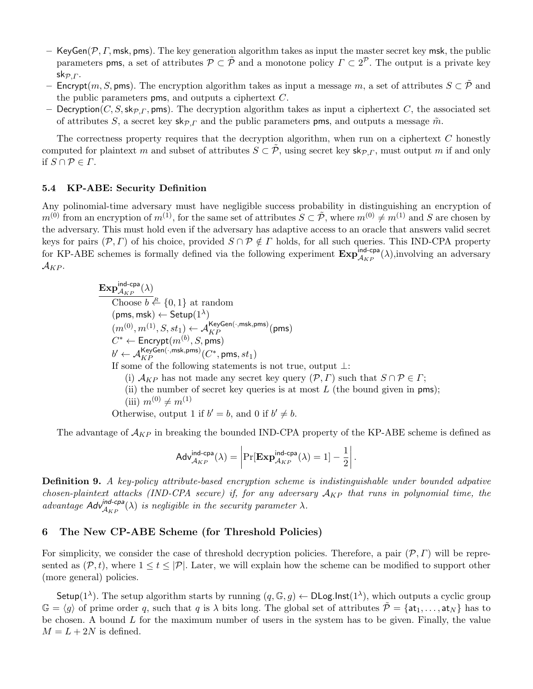- KeyGen( $P, \Gamma$ , msk, pms). The key generation algorithm takes as input the master secret key msk, the public parameters pms, a set of attributes  $\mathcal{P} \subset \tilde{\mathcal{P}}$  and a monotone policy  $\Gamma \subset 2^{\mathcal{P}}$ . The output is a private key sk $\mathcal{P}$ . $\Gamma$ .
- Encrypt $(m, S, pms)$ . The encryption algorithm takes as input a message m, a set of attributes  $S \subset \tilde{\mathcal{P}}$  and the public parameters pms, and outputs a ciphertext  $C$ .
- Decryption(C, S, sk<sub>P, Γ</sub>, pms). The decryption algorithm takes as input a ciphertext C, the associated set of attributes S, a secret key sk<sub>P</sub>, and the public parameters pms, and outputs a message  $\tilde{m}$ .

The correctness property requires that the decryption algorithm, when run on a ciphertext  $C$  honestly computed for plaintext m and subset of attributes  $S \subset \tilde{P}$ , using secret key  $\mathsf{sk}_{P,\Gamma}$ , must output m if and only if  $S \cap \mathcal{P} \in \Gamma$ .

## 5.4 KP-ABE: Security Definition

Any polinomial-time adversary must have negligible success probability in distinguishing an encryption of  $m^{(0)}$  from an encryption of  $m^{(1)}$ , for the same set of attributes  $S \subset \tilde{P}$ , where  $m^{(0)} \neq m^{(1)}$  and S are chosen by the adversary. This must hold even if the adversary has adaptive access to an oracle that answers valid secret keys for pairs  $(\mathcal{P}, \Gamma)$  of his choice, provided  $S \cap \mathcal{P} \notin \Gamma$  holds, for all such queries. This IND-CPA property for KP-ABE schemes is formally defined via the following experiment  $\mathbf{Exp}_{\mathcal{A}_{KP}}^{\text{ind-cpa}}(\lambda)$ , involving an adversary  $\mathcal{A}_{KP}$ .

> $\mathrm{Exp}^{\mathsf{ind-cpa}}_{\mathcal{A}_{KP}}(\lambda)$ Choose  $b \stackrel{R}{\leftarrow} \{0,1\}$  at random  $(pms,msk) \leftarrow Setup(1^{\lambda})$  $(m^{(0)}, m^{(1)}, S, st_1) \leftarrow \mathcal{A}_{KP}^{\mathsf{KeyGen}(\cdot, \mathsf{msk}, \mathsf{pms})}(\mathsf{pms})$  $C^* \leftarrow \mathsf{Encrypt}(m^{(b)}, S, \mathsf{pms})$  $b' \leftarrow \mathcal{A}_{KP}^{\mathsf{KeyGen}(\cdot,\mathsf{msk},\mathsf{pms})}(C^*,\mathsf{pms},st_1)$ If some of the following statements is not true, output ⊥: (i)  $\mathcal{A}_{KP}$  has not made any secret key query  $(\mathcal{P}, \Gamma)$  such that  $S \cap \mathcal{P} \in \Gamma$ ; (ii) the number of secret key queries is at most  $L$  (the bound given in pms); (iii)  $m^{(0)} \neq m^{(1)}$ Otherwise, output 1 if  $b' = b$ , and 0 if  $b' \neq b$ .

The advantage of  $\mathcal{A}_{KP}$  in breaking the bounded IND-CPA property of the KP-ABE scheme is defined as

$$
\mathsf{Adv}_{\mathcal{A}_{KP}}^{\mathsf{ind-cpa}}(\lambda) = \left| \Pr[\mathbf{Exp}_{\mathcal{A}_{KP}}^{\mathsf{ind-cpa}}(\lambda) = 1] - \frac{1}{2} \right|.
$$

Definition 9. A key-policy attribute-based encryption scheme is indistinguishable under bounded adpative chosen-plaintext attacks (IND-CPA secure) if, for any adversary  $A_{KP}$  that runs in polynomial time, the advantage  $Adv_{A_{KP}}^{ind-cpa}(\lambda)$  is negligible in the security parameter  $\lambda$ .

## 6 The New CP-ABE Scheme (for Threshold Policies)

For simplicity, we consider the case of threshold decryption policies. Therefore, a pair  $(\mathcal{P}, \Gamma)$  will be represented as  $(\mathcal{P}, t)$ , where  $1 \le t \le |\mathcal{P}|$ . Later, we will explain how the scheme can be modified to support other (more general) policies.

Setup(1<sup> $\lambda$ </sup>). The setup algorithm starts by running  $(q, \mathbb{G}, g) \leftarrow \text{DLog-Inst}(1^{\lambda})$ , which outputs a cyclic group  $\mathbb{G} = \langle g \rangle$  of prime order q, such that q is  $\lambda$  bits long. The global set of attributes  $\tilde{\mathcal{P}} = \{at_1, \ldots, at_N\}$  has to be chosen. A bound  $L$  for the maximum number of users in the system has to be given. Finally, the value  $M = L + 2N$  is defined.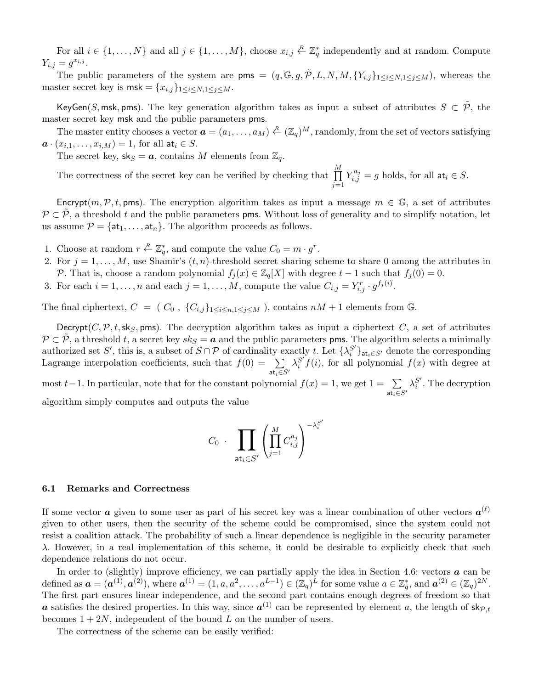For all  $i \in \{1, ..., N\}$  and all  $j \in \{1, ..., M\}$ , choose  $x_{i,j} \in \mathbb{Z}_q^*$  independently and at random. Compute  $Y_{i,j} = g^{x_{i,j}}.$ 

The public parameters of the system are pms =  $(q, \mathbb{G}, g, \tilde{\mathcal{P}}, L, N, M, \{Y_{i,j}\}_{1 \leq i \leq N, 1 \leq j \leq M})$ , whereas the master secret key is  $\mathsf{msk} = \{x_{i,j}\}_{1 \leq i \leq N, 1 \leq j \leq M}$ .

KeyGen(S, msk, pms). The key generation algorithm takes as input a subset of attributes  $S \subset \tilde{\mathcal{P}}$ , the master secret key msk and the public parameters pms.

The master entity chooses a vector  $\boldsymbol{a} = (a_1, \ldots, a_M) \stackrel{R}{\leftarrow} (\mathbb{Z}_q)^M$ , randomly, from the set of vectors satisfying  $a \cdot (x_{i,1}, \ldots, x_{i,M}) = 1$ , for all  $at_i \in S$ .

The secret key,  $sk_S = a$ , contains M elements from  $\mathbb{Z}_q$ .

The correctness of the secret key can be verified by checking that  $\prod_{i=1}^{M}$  $j=1$  $Y_{i,j}^{a_j} = g$  holds, for all  $at_i \in S$ .

Encrypt(m, P, t, pms). The encryption algorithm takes as input a message  $m \in \mathbb{G}$ , a set of attributes  $\mathcal{P} \subset \mathcal{P}$ , a threshold t and the public parameters pms. Without loss of generality and to simplify notation, let us assume  $\mathcal{P} = \{\text{at}_1, \ldots, \text{at}_n\}$ . The algorithm proceeds as follows.

- 1. Choose at random  $r \stackrel{R}{\leftarrow} \mathbb{Z}_q^*$ , and compute the value  $C_0 = m \cdot g^r$ .
- 2. For  $j = 1, \ldots, M$ , use Shamir's  $(t, n)$ -threshold secret sharing scheme to share 0 among the attributes in P. That is, choose a random polynomial  $f_j(x) \in \mathbb{Z}_q[X]$  with degree  $t-1$  such that  $f_j(0) = 0$ .
- 3. For each  $i = 1, \ldots, n$  and each  $j = 1, \ldots, M$ , compute the value  $C_{i,j} = Y_{i,j}^r \cdot g^{f_j(i)}$ .

The final ciphertext,  $C = (C_0, \{C_{i,j}\}_{1 \leq i \leq n, 1 \leq j \leq M})$ , contains  $nM + 1$  elements from G.

Decrypt( $C, \mathcal{P}, t$ , sk<sub>S</sub>, pms). The decryption algorithm takes as input a ciphertext C, a set of attributes  $\mathcal{P} \subset \mathcal{P}$ , a threshold t, a secret key  $sk_S = a$  and the public parameters pms. The algorithm selects a minimally authorized set S', this is, a subset of  $S \cap P$  of cardinality exactly t. Let  $\{\lambda_i^{S'}\}$  $\binom{S'}{i}_{\mathsf{at}_i \in S'}$  denote the corresponding Lagrange interpolation coefficients, such that  $f(0) = \sum$ at $_i\in S'$  $\lambda_i^{S'}$  $i<sup>S'</sup> f(i)$ , for all polynomial  $f(x)$  with degree at most t – 1. In particular, note that for the constant polynomial  $f(x) = 1$ , we get  $1 = \sum$ at $_i\in S'$  $\lambda_i^{S'}$  $i<sup>s</sup>$ . The decryption

algorithm simply computes and outputs the value

$$
C_0 \cdot \prod_{\mathsf{at}_i \in S'} \left( \prod_{j=1}^M C_{i,j}^{a_j} \right)^{-\lambda_i^{S'}}
$$

#### 6.1 Remarks and Correctness

If some vector  $a$  given to some user as part of his secret key was a linear combination of other vectors  $a^{(\ell)}$ given to other users, then the security of the scheme could be compromised, since the system could not resist a coalition attack. The probability of such a linear dependence is negligible in the security parameter  $\lambda$ . However, in a real implementation of this scheme, it could be desirable to explicitly check that such dependence relations do not occur.

In order to (slightly) improve efficiency, we can partially apply the idea in Section 4.6: vectors  $\boldsymbol{a}$  can be defined as  $\boldsymbol{a} = (\boldsymbol{a}^{(1)}, \boldsymbol{a}^{(2)})$ , where  $\boldsymbol{a}^{(1)} = (1, a, a^2, \dots, a^{L-1}) \in (\mathbb{Z}_q)^L$  for some value  $a \in \mathbb{Z}_q^*$ , and  $\boldsymbol{a}^{(2)} \in (\mathbb{Z}_q)^{2N}$ . The first part ensures linear independence, and the second part contains enough degrees of freedom so that **a** satisfies the desired properties. In this way, since  $a^{(1)}$  can be represented by element a, the length of  $\mathsf{sk}_{\mathcal{P},t}$ becomes  $1 + 2N$ , independent of the bound L on the number of users.

The correctness of the scheme can be easily verified: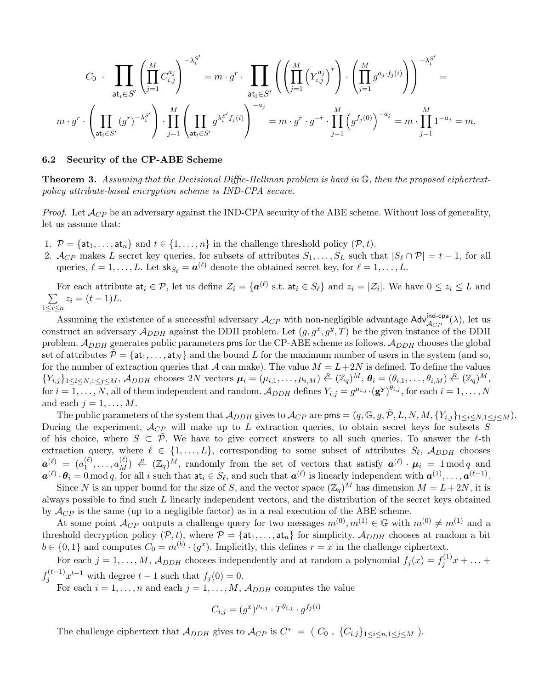$$
C_0 \cdot \prod_{\text{at}_i \in S'} \left( \prod_{j=1}^M C_{i,j}^{a_j} \right)^{-\lambda_i^{S'}} = m \cdot g^r \cdot \prod_{\text{at}_i \in S'} \left( \left( \prod_{j=1}^M \left( Y_{i,j}^{a_j} \right)^r \right) \cdot \left( \prod_{j=1}^M g^{a_j \cdot f_j(i)} \right) \right)^{-\lambda_i^{S'}} =
$$
  

$$
m \cdot g^r \cdot \left( \prod_{\text{at}_i \in S'} (g^r)^{-\lambda_i^{S'}} \right) \cdot \prod_{j=1}^M \left( \prod_{\text{at}_i \in S'} g^{\lambda_i^{S'} f_j(i)} \right)^{-a_j} = m \cdot g^r \cdot g^{-r} \cdot \prod_{j=1}^M \left( g^{f_j(0)} \right)^{-a_j} = m \cdot \prod_{j=1}^M 1^{-a_j} = m.
$$

#### 6.2 Security of the CP-ABE Scheme

**Theorem 3.** Assuming that the Decisional Diffie-Hellman problem is hard in  $\mathbb{G}$ , then the proposed ciphertextpolicy attribute-based encryption scheme is IND-CPA secure.

*Proof.* Let  $\mathcal{A}_{CP}$  be an adversary against the IND-CPA security of the ABE scheme. Without loss of generality, let us assume that:

- 1.  $P = \{at_1, \ldots, at_n\}$  and  $t \in \{1, \ldots, n\}$  in the challenge threshold policy  $(P, t)$ .
- 2.  $\mathcal{A}_{CP}$  makes L secret key queries, for subsets of attributes  $S_1, \ldots, S_L$  such that  $|S_\ell \cap \mathcal{P}| = t 1$ , for all queries,  $\ell = 1, \ldots, L$ . Let  $\mathsf{sk}_{S_\ell} = \mathbf{a}^{(\ell)}$  denote the obtained secret key, for  $\ell = 1, \ldots, L$ .

For each attribute  $a_i \in \mathcal{P}$ , let us define  $\mathcal{Z}_i = \{a^{(\ell)} \text{ s.t. } a t_i \in S_\ell\}$  and  $z_i = |\mathcal{Z}_i|$ . We have  $0 \leq z_i \leq L$  and  $\sum$  $1\leq i\leq n$  $z_i = (t-1)L$ .

Assuming the existence of a successful adversary  $\mathcal{A}_{CP}$  with non-negligible advantage  $\mathsf{Adv}_{\mathcal{A}_{CP}}^{\mathsf{ind-cpa}}(\lambda)$ , let us construct an adversary  $\mathcal{A}_{DDH}$  against the DDH problem. Let  $(g, g^x, g^y, T)$  be the given instance of the DDH problem.  $A_{DDH}$  generates public parameters pms for the CP-ABE scheme as follows.  $A_{DDH}$  chooses the global set of attributes  $\mathcal{\tilde{P}} = \{\mathsf{at}_1, \ldots, \mathsf{at}_N\}$  and the bound L for the maximum number of users in the system (and so, for the number of extraction queries that A can make). The value  $M = L + 2N$  is defined. To define the values  ${Y_{i,j}}_{1 \leq i \leq N, 1 \leq j \leq M}$ ,  $A_{DDH}$  chooses 2N vectors  $\mu_i = (\mu_{i,1}, \ldots, \mu_{i,M}) \stackrel{R}{\leftarrow} (\mathbb{Z}_q)^M$ ,  $\theta_i = (\theta_{i,1}, \ldots, \theta_{i,M}) \stackrel{R}{\leftarrow} (\mathbb{Z}_q)^M$ , for  $i=1,\ldots,N,$  all of them independent and random.  $\mathcal{A}_{DDH}$  defines  $Y_{i,j}=g^{\mu_{i,j}}\cdot(\mathbf{g}^{\mathbf{y}})^{\theta_{i,j}},$  for each  $i=1,\ldots,N$ and each  $j = 1, \ldots, M$ .

The public parameters of the system that  $\mathcal{A}_{DDH}$  gives to  $\mathcal{A}_{CP}$  are  $\mathsf{pms} = (q, \mathbb{G}, g, \tilde{\mathcal{P}}, L, N, M, \{Y_{i,j}\}_{1 \leq i \leq N, 1 \leq j \leq M})$ . During the experiment,  $\mathcal{A}_{CP}$  will make up to L extraction queries, to obtain secret keys for subsets S of his choice, where  $S \subset \mathcal{P}$ . We have to give correct answers to all such queries. To answer the  $\ell$ -th extraction query, where  $\ell \in \{1, ..., L\}$ , corresponding to some subset of attributes  $S_{\ell}$ ,  $\mathcal{A}_{DDH}$  chooses  $\bm{a}^{(\ell)} \; = \; (a_1^{(\ell)} \;$  $\mathcal{L}^{(\ell)}_1, \ldots, \mathcal{L}^{(\ell)}_M \nightharpoonup \mathbb{R}^{(\ell)}$  and  $\mathcal{L}^{(\ell)}_1$  and  $\mathcal{L}^{(\ell)}_1$  and  $\mathcal{L}^{(\ell)}_1$  and  $\mathcal{L}^{(\ell)}_1$  and  $\mathcal{L}^{(\ell)}_1$  and  $\mathcal{L}^{(\ell)}_1$  and  $\mathcal{L}^{(\ell)}_2$  and  $a^{(\ell)} \cdot \theta_i = 0 \mod q$ , for all i such that  $a t_i \in S_{\ell}$ , and such that  $a^{(\ell)}$  is linearly independent with  $a^{(1)}, \ldots, a^{(\ell-1)}$ .

Since N is an upper bound for the size of S, and the vector space  $(\mathbb{Z}_q)^M$  has dimension  $M = L + 2N$ , it is always possible to find such L linearly independent vectors, and the distribution of the secret keys obtained by  $\mathcal{A}_{CP}$  is the same (up to a negligible factor) as in a real execution of the ABE scheme.

At some point  $\mathcal{A}_{CP}$  outputs a challenge query for two messages  $m^{(0)}, m^{(1)} \in \mathbb{G}$  with  $m^{(0)} \neq m^{(1)}$  and a threshold decryption policy  $(\mathcal{P}, t)$ , where  $\mathcal{P} = {\text{at}_1, \ldots, \text{at}_n}$  for simplicity.  $\mathcal{A}_{DDH}$  chooses at random a bit  $b \in \{0,1\}$  and computes  $C_0 = m^{(b)} \cdot (g^x)$ . Implicitly, this defines  $r = x$  in the challenge ciphertext.

For each  $j = 1, ..., M$ ,  $\mathcal{A}_{DDH}$  chooses independently and at random a polynomial  $f_j(x) = f_j^{(1)}$  $j^{(1)}x + ... +$  $f_i^{(t-1)}$  $j_j^{(t-1)}x^{t-1}$  with degree  $t-1$  such that  $f_j(0) = 0$ .

For each  $i = 1, ..., n$  and each  $j = 1, ..., M$ ,  $\mathcal{A}_{DDH}$  computes the value

$$
C_{i,j}=(g^x)^{\mu_{i,j}}\cdot T^{\theta_{i,j}}\cdot g^{f_j(i)}
$$

The challenge ciphertext that  $\mathcal{A}_{DDH}$  gives to  $\mathcal{A}_{CP}$  is  $C^* = (C_0, \{C_{i,j}\}_{1 \leq i \leq n, 1 \leq j \leq M})$ .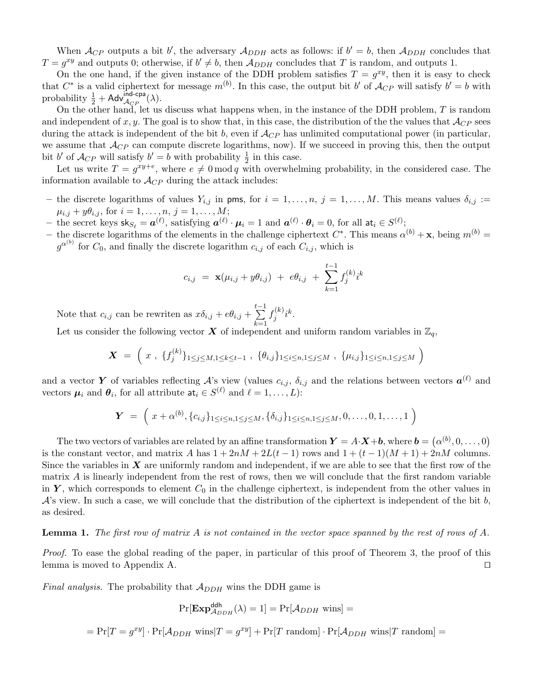When  $\mathcal{A}_{CP}$  outputs a bit b', the adversary  $\mathcal{A}_{DDH}$  acts as follows: if  $b' = b$ , then  $\mathcal{A}_{DDH}$  concludes that  $T = g^{xy}$  and outputs 0; otherwise, if  $b' \neq b$ , then  $\mathcal{A}_{DDH}$  concludes that T is random, and outputs 1.

On the one hand, if the given instance of the DDH problem satisfies  $T = g^{xy}$ , then it is easy to check that  $C^*$  is a valid ciphertext for message  $m^{(b)}$ . In this case, the output bit b' of  $\mathcal{A}_{CP}$  will satisfy  $b' = b$  with probability  $\frac{1}{2} + \mathsf{Adv}_{\mathcal{A}_{CP}}^{\mathsf{ind-cpa}}(\lambda)$ .

On the other hand, let us discuss what happens when, in the instance of the DDH problem,  $T$  is random and independent of x, y. The goal is to show that, in this case, the distribution of the the values that  $\mathcal{A}_{CP}$  sees during the attack is independent of the bit b, even if  $\mathcal{A}_{CP}$  has unlimited computational power (in particular, we assume that  $\mathcal{A}_{CP}$  can compute discrete logarithms, now). If we succeed in proving this, then the output bit b' of  $\mathcal{A}_{CP}$  will satisfy  $b' = b$  with probability  $\frac{1}{2}$  in this case.

Let us write  $T = g^{xy+e}$ , where  $e \neq 0 \mod q$  with overwhelming probability, in the considered case. The information available to  $\mathcal{A}_{CP}$  during the attack includes:

- the discrete logarithms of values  $Y_{i,j}$  in pms, for  $i = 1, \ldots, n$ ,  $j = 1, \ldots, M$ . This means values  $\delta_{i,j}$  :=  $\mu_{i,j} + y\theta_{i,j}$ , for  $i = 1, ..., n, j = 1, ..., M$ ;
- the secret keys  $\mathsf{sk}_{S_\ell} = \boldsymbol{a}^{(\ell)}$ , satisfying  $\boldsymbol{a}^{(\ell)} \cdot \boldsymbol{\mu}_i = 1$  and  $\boldsymbol{a}^{(\ell)} \cdot \boldsymbol{\theta}_i = 0$ , for all  $\mathsf{at}_i \in S^{(\ell)}$ ;
- the discrete logarithms of the elements in the challenge ciphertext  $C^*$ . This means  $\alpha^{(b)} + \mathbf{x}$ , being  $m^{(b)} =$  $g^{\alpha^{(b)}}$  for  $C_0$ , and finally the discrete logarithm  $c_{i,j}$  of each  $C_{i,j}$ , which is

$$
c_{i,j} = \mathbf{x}(\mu_{i,j} + y\theta_{i,j}) + e\theta_{i,j} + \sum_{k=1}^{t-1} f_j^{(k)} i^k
$$

Note that  $c_{i,j}$  can be rewriten as  $x\delta_{i,j} + e\theta_{i,j} +$  $\sum_{i=1}^{t-1}$  $_{k=1}$  $f_i^{(k)}$  $j^{(k)}i^k$ .

Let us consider the following vector  $\boldsymbol{X}$  of independent and uniform random variables in  $\mathbb{Z}_q$ ,

$$
\mathbf{X} = \left(x, \{f_j^{(k)}\}_{1 \leq j \leq M, 1 \leq k \leq t-1}, \{\theta_{i,j}\}_{1 \leq i \leq n, 1 \leq j \leq M}, \{\mu_{i,j}\}_{1 \leq i \leq n, 1 \leq j \leq M}\right)
$$

and a vector Y of variables reflecting  $\mathcal{A}$ 's view (values  $c_{i,j}$ ,  $\delta_{i,j}$  and the relations between vectors  $\boldsymbol{a}^{(\ell)}$  and vectors  $\mu_i$  and  $\theta_i$ , for all attribute  $a_i \in S^{(\ell)}$  and  $\ell = 1, \ldots, L$ :

$$
\mathbf{Y} = \left(x + \alpha^{(b)}, \{c_{i,j}\}_{1 \leq i \leq n, 1 \leq j \leq M}, \{\delta_{i,j}\}_{1 \leq i \leq n, 1 \leq j \leq M}, 0, \ldots, 0, 1, \ldots, 1\right)
$$

The two vectors of variables are related by an affine transformation  $\bm{Y} = A \cdot \bm{X} + \bm{b}$ , where  $\bm{b} = (\alpha^{(b)}, 0, \ldots, 0)$ is the constant vector, and matrix A has  $1 + 2nM + 2L(t - 1)$  rows and  $1 + (t - 1)(M + 1) + 2nM$  columns. Since the variables in  $X$  are uniformly random and independent, if we are able to see that the first row of the matrix A is linearly independent from the rest of rows, then we will conclude that the first random variable in Y, which corresponds to element  $C_0$  in the challenge ciphertext, is independent from the other values in  $\mathcal{A}$ 's view. In such a case, we will conclude that the distribution of the ciphertext is independent of the bit b, as desired.

**Lemma 1.** The first row of matrix A is not contained in the vector space spanned by the rest of rows of A.

Proof. To ease the global reading of the paper, in particular of this proof of Theorem 3, the proof of this lemma is moved to Appendix A.  $\Box$ 

*Final analysis.* The probability that  $\mathcal{A}_{DDH}$  wins the DDH game is

$$
Pr[\mathbf{Exp}_{\mathcal{A}_{DDH}}^{\mathsf{ddh}}(\lambda) = 1] = Pr[\mathcal{A}_{DDH} \text{ wins}] =
$$

$$
= \Pr[T = g^{xy}] \cdot \Pr[\mathcal{A}_{DDH} \text{ wins} | T = g^{xy}] + \Pr[T \text{ random}] \cdot \Pr[\mathcal{A}_{DDH} \text{ wins} | T \text{ random}] =
$$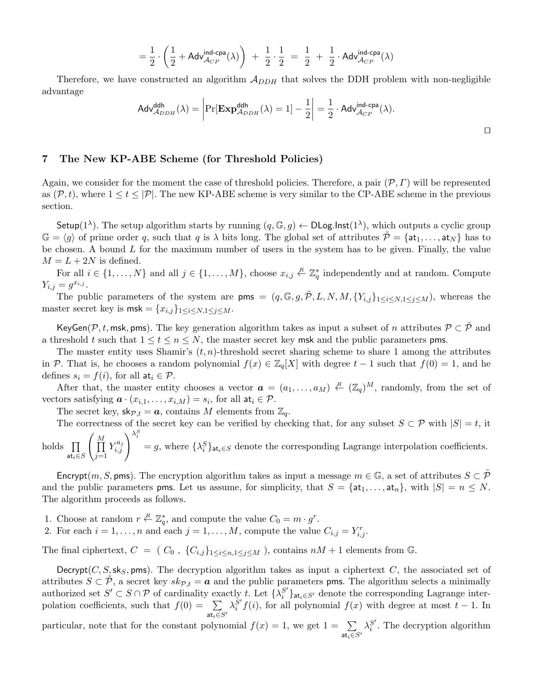$$
= \frac{1}{2} \cdot \left( \frac{1}{2} + \mathsf{Adv}_{\mathcal{A}_{CP}}^{\mathsf{ind-cpa}}(\lambda) \right) + \frac{1}{2} \cdot \frac{1}{2} = \frac{1}{2} + \frac{1}{2} \cdot \mathsf{Adv}_{\mathcal{A}_{CP}}^{\mathsf{ind-cpa}}(\lambda)
$$

Therefore, we have constructed an algorithm  $A_{DDH}$  that solves the DDH problem with non-negligible advantage

$$
\mathsf{Adv}_{\mathcal{A}_{DDH}}^{\mathsf{ddh}}(\lambda) = \left| \Pr[\mathbf{Exp}_{\mathcal{A}_{DDH}}^{\mathsf{ddh}}(\lambda) = 1] - \frac{1}{2} \right| = \frac{1}{2} \cdot \mathsf{Adv}_{\mathcal{A}_{CP}}^{\mathsf{ind-cpa}}(\lambda).
$$

## 7 The New KP-ABE Scheme (for Threshold Policies)

Again, we consider for the moment the case of threshold policies. Therefore, a pair  $(\mathcal{P}, \Gamma)$  will be represented as  $(\mathcal{P}, t)$ , where  $1 \le t \le |\mathcal{P}|$ . The new KP-ABE scheme is very similar to the CP-ABE scheme in the previous section.

Setup(1<sup> $\lambda$ </sup>). The setup algorithm starts by running  $(q, \mathbb{G}, g) \leftarrow \text{DLog-Inst}(1^{\lambda})$ , which outputs a cyclic group  $\mathbb{G} = \langle g \rangle$  of prime order q, such that q is  $\lambda$  bits long. The global set of attributes  $\mathcal{P} = \{at_1, \ldots, at_N\}$  has to be chosen. A bound  $L$  for the maximum number of users in the system has to be given. Finally, the value  $M = L + 2N$  is defined.

For all  $i \in \{1, ..., N\}$  and all  $j \in \{1, ..., M\}$ , choose  $x_{i,j} \in \mathbb{Z}_q^*$  independently and at random. Compute  $Y_{i,j} = g^{x_{i,j}}.$ 

The public parameters of the system are pms =  $(q, \mathbb{G}, g, \tilde{\mathcal{P}}, L, N, M, \{Y_{i,j}\}_{1 \leq i \leq N, 1 \leq j \leq M})$ , whereas the master secret key is  $\text{msk} = \{x_{i,j}\}_{1 \leq i \leq N, 1 \leq j \leq M}$ .

KeyGen( $\mathcal{P}, t$ , msk, pms). The key generation algorithm takes as input a subset of n attributes  $\mathcal{P} \subset \mathcal{P}$  and a threshold t such that  $1 \le t \le n \le N$ , the master secret key msk and the public parameters pms.

The master entity uses Shamir's  $(t, n)$ -threshold secret sharing scheme to share 1 among the attributes in P. That is, he chooses a random polynomial  $f(x) \in \mathbb{Z}_q[X]$  with degree  $t-1$  such that  $f(0) = 1$ , and he defines  $s_i = f(i)$ , for all  $at_i \in \mathcal{P}$ .

After that, the master entity chooses a vector  $\boldsymbol{a} = (a_1, \ldots, a_M) \stackrel{R}{\leftarrow} (\mathbb{Z}_q)^M$ , randomly, from the set of vectors satisfying  $\boldsymbol{a} \cdot (x_{i,1}, \ldots, x_{i,M}) = s_i$ , for all  $\mathsf{at}_i \in \mathcal{P}$ .

The secret key,  $\mathsf{sk}_{\mathcal{P},t} = \mathbf{a}$ , contains M elements from  $\mathbb{Z}_q$ .

at $_i{\in}S$ 

 $j=1$ 

The correctness of the secret key can be verified by checking that, for any subset  $S \subset \mathcal{P}$  with  $|S| = t$ , it holds  $\prod$  $\sqrt{ }$  $\prod$  $Y_{i,i}^{a_j}$  $\left(\begin{smallmatrix} a_j \ i,j \end{smallmatrix}\right)^{\lambda_i^S}$  $= g$ , where  $\{\lambda_i^S\}_{\text{at}_i \in S}$  denote the corresponding Lagrange interpolation coefficients.

Encrypt $(m, S, \text{pms})$ . The encryption algorithm takes as input a message  $m \in \mathbb{G}$ , a set of attributes  $S \subset \mathcal{P}$ and the public parameters pms. Let us assume, for simplicity, that  $S = \{at_1, \ldots, at_n\}$ , with  $|S| = n \leq N$ . The algorithm proceeds as follows.

- 1. Choose at random  $r \stackrel{R}{\leftarrow} \mathbb{Z}_q^*$ , and compute the value  $C_0 = m \cdot g^r$ .
- 2. For each  $i = 1, \ldots, n$  and each  $j = 1, \ldots, M$ , compute the value  $C_{i,j} = Y_{i,j}^r$ .

The final ciphertext,  $C = (C_0, \{C_{i,j}\}_{1 \leq i \leq n, 1 \leq j \leq M})$ , contains  $nM + 1$  elements from G.

Decrypt( $C, S$ , sks, pms). The decryption algorithm takes as input a ciphertext C, the associated set of attributes  $S \subset \mathcal{P}$ , a secret key  $sk_{\mathcal{P},t} = a$  and the public parameters pms. The algorithm selects a minimally authorized set  $S' \subset S \cap P$  of cardinality exactly t. Let  $\{\lambda_i^{S'}\}$  $\binom{S'}{i}_{\mathsf{at}_i \in S'}$  denote the corresponding Lagrange interpolation coefficients, such that  $f(0) = \sum$ at $_i\in S'$  $\lambda^{S'}_i$  $i<sup>S</sup> f(i)$ , for all polynomial  $f(x)$  with degree at most  $t - 1$ . In

particular, note that for the constant polynomial  $f(x) = 1$ , we get  $1 = \sum$ at $_i\in S'$  $\lambda_i^{S'}$  $i<sup>S</sup>$ . The decryption algorithm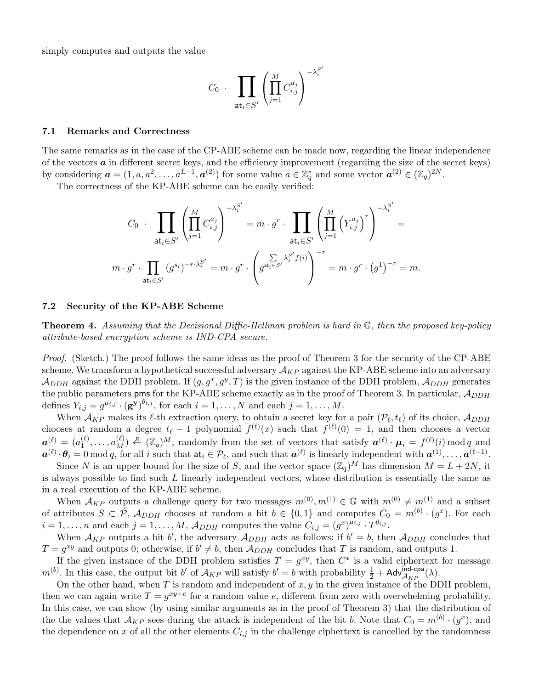simply computes and outputs the value

$$
C_0 \cdot \prod_{\mathsf{at}_i \in S'} \left( \prod_{j=1}^M C_{i,j}^{a_j} \right)^{-\lambda_i^{S'}}
$$

#### 7.1 Remarks and Correctness

The same remarks as in the case of the CP-ABE scheme can be made now, regarding the linear independence of the vectors  $\boldsymbol{a}$  in different secret keys, and the efficiency improvement (regarding the size of the secret keys) by considering  $\mathbf{a} = (1, a, a^2, \dots, a^{L-1}, \mathbf{a}^{(2)})$  for some value  $a \in \mathbb{Z}_q^*$  and some vector  $\mathbf{a}^{(2)} \in (\mathbb{Z}_q)^{2N}$ .

The correctness of the KP-ABE scheme can be easily verified:

$$
C_0 \cdot \prod_{\mathsf{at}_i \in S'} \left( \prod_{j=1}^M C_{i,j}^{a_j} \right)^{-\lambda_i^{S'}} = m \cdot g^r \cdot \prod_{\mathsf{at}_i \in S'} \left( \prod_{j=1}^M \left( Y_{i,j}^{a_j} \right)^r \right)^{-\lambda_i^{S'}} =
$$
  

$$
m \cdot g^r \cdot \prod_{\mathsf{at}_i \in S'} (g^{s_i})^{-r \cdot \lambda_i^{S'}} = m \cdot g^r \cdot \left( g^{s_i \cdot \sum_{i=1}^N \lambda_i^{S'} f(i)} \right)^{-r} = m \cdot g^r \cdot (g^1)^{-r} = m.
$$

### 7.2 Security of the KP-ABE Scheme

**Theorem 4.** Assuming that the Decisional Diffie-Hellman problem is hard in  $\mathbb{G}$ , then the proposed key-policy attribute-based encryption scheme is IND-CPA secure.

Proof. (Sketch.) The proof follows the same ideas as the proof of Theorem 3 for the security of the CP-ABE scheme. We transform a hypothetical successful adversary  $A_{KP}$  against the KP-ABE scheme into an adversary  $\mathcal{A}_{DDH}$  against the DDH problem. If  $(g, g^x, g^y, T)$  is the given instance of the DDH problem,  $\mathcal{A}_{DDH}$  generates the public parameters pms for the KP-ABE scheme exactly as in the proof of Theorem 3. In particular,  $A_{DDH}$ defines  $Y_{i,j} = g^{\mu_{i,j}} \cdot (\mathbf{g}^{\mathbf{y}})^{\theta_{i,j}}$ , for each  $i = 1, \ldots, N$  and each  $j = 1, \ldots, M$ .

When  $\mathcal{A}_{KP}$  makes its  $\ell$ -th extraction query, to obtain a secret key for a pair  $(\mathcal{P}_{\ell}, t_{\ell})$  of its choice,  $\mathcal{A}_{DDH}$ chooses at random a degree  $t_{\ell} - 1$  polynomial  $f^{(\ell)}(x)$  such that  $f^{(\ell)}(0) = 1$ , and then chooses a vector  $\boldsymbol{a}^{(\ell)} = (a_1^{(\ell)}$  $\mathcal{L}^{(\ell)}_1, \ldots, \mathcal{L}^{(\ell)}_M$  and  $\mathcal{L}^{(\ell)}_1$ , randomly from the set of vectors that satisfy  $\mathbf{a}^{(\ell)} \cdot \mathbf{\mu}_i = f^{(\ell)}(i) \mod q$  and  $a^{(\ell)} \cdot \theta_i = 0 \mod q$ , for all i such that  $a t_i \in \mathcal{P}_\ell$ , and such that  $a^{(\ell)}$  is linearly independent with  $a^{(1)}, \ldots, a^{(\ell-1)}$ .

Since N is an upper bound for the size of S, and the vector space  $(\mathbb{Z}_q)^M$  has dimension  $M = L + 2N$ , it is always possible to find such L linearly independent vectors, whose distribution is essentially the same as in a real execution of the KP-ABE scheme.

When  $\mathcal{A}_{KP}$  outputs a challenge query for two messages  $m^{(0)}, m^{(1)} \in \mathbb{G}$  with  $m^{(0)} \neq m^{(1)}$  and a subset of attributes  $S \subset \tilde{\mathcal{P}}, \mathcal{A}_{DDH}$  chooses at random a bit  $b \in \{0,1\}$  and computes  $C_0 = m^{(b)} \cdot (g^x)$ . For each  $i = 1, \ldots, n$  and each  $j = 1, \ldots, M$ ,  $\mathcal{A}_{DDH}$  computes the value  $C_{i,j} = (g^x)^{\mu_{i,j}} \cdot T^{\theta_{i,j}}$ .

When  $A_{KP}$  outputs a bit b', the adversary  $A_{DDH}$  acts as follows: if  $b' = b$ , then  $A_{DDH}$  concludes that  $T = g^{xy}$  and outputs 0; otherwise, if  $b' \neq b$ , then  $\mathcal{A}_{DDH}$  concludes that T is random, and outputs 1.

If the given instance of the DDH problem satisfies  $T = g^{xy}$ , then  $C^*$  is a valid ciphertext for message  $m^{(b)}$ . In this case, the output bit b' of  $\mathcal{A}_{KP}$  will satisfy  $b' = b$  with probability  $\frac{1}{2} + \mathsf{Adv}_{\mathcal{A}_{KP}}^{\mathsf{ind-cpa}}(\lambda)$ .

On the other hand, when  $T$  is random and independent of  $x, y$  in the given instance of the DDH problem, then we can again write  $T = g^{xy+e}$  for a random value e, different from zero with overwhelming probability. In this case, we can show (by using similar arguments as in the proof of Theorem 3) that the distribution of the the values that  $\mathcal{A}_{KP}$  sees during the attack is independent of the bit b. Note that  $C_0 = m^{(b)} \cdot (g^x)$ , and the dependence on x of all the other elements  $C_{i,j}$  in the challenge ciphertext is cancelled by the randomness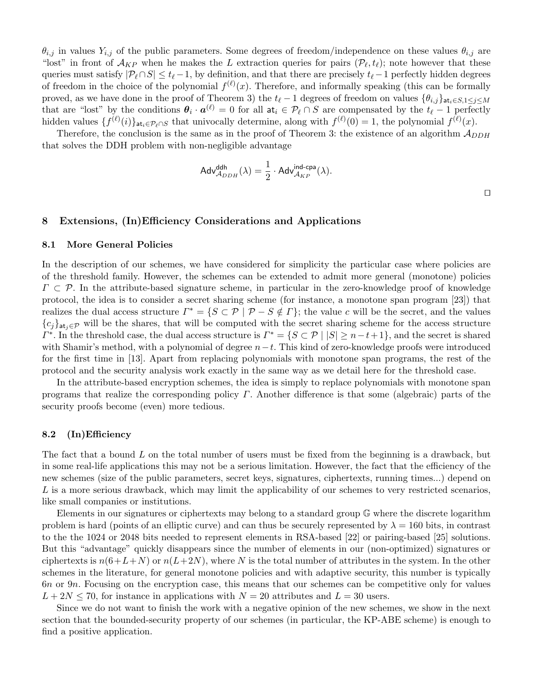$\theta_{i,j}$  in values  $Y_{i,j}$  of the public parameters. Some degrees of freedom/independence on these values  $\theta_{i,j}$  are "lost" in front of  $\mathcal{A}_{KP}$  when he makes the L extraction queries for pairs  $(\mathcal{P}_{\ell}, t_{\ell})$ ; note however that these queries must satisfy  $|\mathcal{P}_{\ell} \cap S| \le t_{\ell} - 1$ , by definition, and that there are precisely  $t_{\ell} - 1$  perfectly hidden degrees of freedom in the choice of the polynomial  $f^{(\ell)}(x)$ . Therefore, and informally speaking (this can be formally proved, as we have done in the proof of Theorem 3) the  $t_{\ell}$  − 1 degrees of freedom on values  ${\theta_{i,j}}$ at<sub>i</sub>∈S,1≤j≤M that are "lost" by the conditions  $\theta_i \cdot a^{(\ell)} = 0$  for all  $a t_i \in \mathcal{P}_\ell \cap S$  are compensated by the  $t_\ell - 1$  perfectly hidden values  $\{f^{(\ell)}(i)\}_{{\rm at}_i\in\mathcal{P}_{\ell}\cap S}$  that univocally determine, along with  $f^{(\ell)}(0)=1$ , the polynomial  $f^{(\ell)}(x)$ .

Therefore, the conclusion is the same as in the proof of Theorem 3: the existence of an algorithm  $A_{DDH}$ that solves the DDH problem with non-negligible advantage

$$
\mathsf{Adv}_{\mathcal{A}_{DDH}}^{\mathsf{ddh}}(\lambda) = \frac{1}{2} \cdot \mathsf{Adv}_{\mathcal{A}_{KP}}^{\mathsf{ind-cpa}}(\lambda).
$$

 $\Box$ 

## 8 Extensions, (In)Efficiency Considerations and Applications

#### 8.1 More General Policies

In the description of our schemes, we have considered for simplicity the particular case where policies are of the threshold family. However, the schemes can be extended to admit more general (monotone) policies  $\Gamma \subset \mathcal{P}$ . In the attribute-based signature scheme, in particular in the zero-knowledge proof of knowledge protocol, the idea is to consider a secret sharing scheme (for instance, a monotone span program [23]) that realizes the dual access structure  $\Gamma^* = \{ S \subset \mathcal{P} \mid \mathcal{P} - S \notin \Gamma \}$ ; the value c will be the secret, and the values  ${c_j}_{a_t, \in \mathcal{P}}$  will be the shares, that will be computed with the secret sharing scheme for the access structure  $\Gamma^*$ . In the threshold case, the dual access structure is  $\Gamma^* = \{S \subset \mathcal{P} \mid |S| \geq n-t+1\}$ , and the secret is shared with Shamir's method, with a polynomial of degree  $n-t$ . This kind of zero-knowledge proofs were introduced for the first time in [13]. Apart from replacing polynomials with monotone span programs, the rest of the protocol and the security analysis work exactly in the same way as we detail here for the threshold case.

In the attribute-based encryption schemes, the idea is simply to replace polynomials with monotone span programs that realize the corresponding policy  $\Gamma$ . Another difference is that some (algebraic) parts of the security proofs become (even) more tedious.

#### 8.2 (In)Efficiency

The fact that a bound L on the total number of users must be fixed from the beginning is a drawback, but in some real-life applications this may not be a serious limitation. However, the fact that the efficiency of the new schemes (size of the public parameters, secret keys, signatures, ciphertexts, running times...) depend on L is a more serious drawback, which may limit the applicability of our schemes to very restricted scenarios, like small companies or institutions.

Elements in our signatures or ciphertexts may belong to a standard group G where the discrete logarithm problem is hard (points of an elliptic curve) and can thus be securely represented by  $\lambda = 160$  bits, in contrast to the the 1024 or 2048 bits needed to represent elements in RSA-based [22] or pairing-based [25] solutions. But this "advantage" quickly disappears since the number of elements in our (non-optimized) signatures or ciphertexts is  $n(6+L+N)$  or  $n(L+2N)$ , where N is the total number of attributes in the system. In the other schemes in the literature, for general monotone policies and with adaptive security, this number is typically 6n or 9n. Focusing on the encryption case, this means that our schemes can be competitive only for values  $L + 2N \leq 70$ , for instance in applications with  $N = 20$  attributes and  $L = 30$  users.

Since we do not want to finish the work with a negative opinion of the new schemes, we show in the next section that the bounded-security property of our schemes (in particular, the KP-ABE scheme) is enough to find a positive application.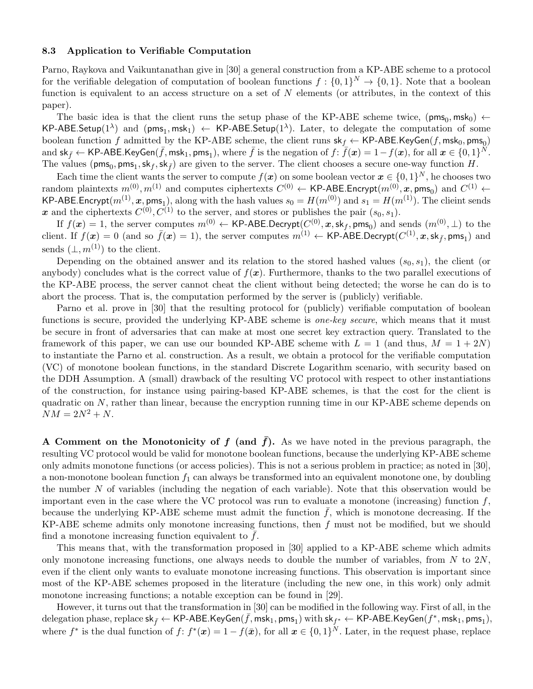#### 8.3 Application to Verifiable Computation

Parno, Raykova and Vaikuntanathan give in [30] a general construction from a KP-ABE scheme to a protocol for the verifiable delegation of computation of boolean functions  $f: \{0,1\}^N \to \{0,1\}$ . Note that a boolean function is equivalent to an access structure on a set of  $N$  elements (or attributes, in the context of this paper).

The basic idea is that the client runs the setup phase of the KP-ABE scheme twice,  $(\text{pms}_0, \text{msk}_0) \leftarrow$  $\mathsf{KP}\text{-}\mathsf{ABE}.\mathsf{Setup}(1^\lambda)$  and  $(\mathsf{pms}_1,\mathsf{msk}_1) \leftarrow \mathsf{KP}\text{-}\mathsf{ABE}.\mathsf{Setup}(1^\lambda).$  Later, to delegate the computation of some boolean function  $f$  admitted by the KP-ABE scheme, the client runs  $\mathsf{sk}_f \leftarrow \mathsf{KP-ABE}$ .KeyGen $(f, \mathsf{msk}_0, \mathsf{pms}_0)$ and  $\mathsf{sk}_{\bar{f}} \leftarrow \mathsf{KP-ABE}$ .KeyGen $(\bar{f}, \mathsf{msk}_1, \mathsf{pms}_1),$  where  $\bar{f}$  is the negation of  $f \colon \overline{f}(\bm{x}) = 1-f(\bm{x}),$  for all  $\bm{x} \in \{0,1\}^{\check{N}}.$ The values ( $\text{pms}_0, \text{pms}_1, \text{sk}_f, \text{sk}_{\bar{f}}$ ) are given to the server. The client chooses a secure one-way function H.

Each time the client wants the server to compute  $f(x)$  on some boolean vector  $x \in \{0,1\}^N$ , he chooses two random plaintexts  $m^{(0)}, m^{(1)}$  and computes ciphertexts  $C^{(0)} \leftarrow$  KP-ABE.Encrypt $(m^{(0)}, x, \text{pms}_0)$  and  $C^{(1)} \leftarrow$ KP-ABE.Encrypt $(m^{(1)}, x, \text{pms}_1)$ , along with the hash values  $s_0 = H(m^{(0)})$  and  $s_1 = H(m^{(1)})$ . The clieint sends x and the ciphertexts  $C^{(0)}$ ,  $C^{(1)}$  to the server, and stores or publishes the pair  $(s_0, s_1)$ .

If  $f(\bm{x})=1,$  the server computes  $m^{(0)} \leftarrow$  KP-ABE.Decrypt $(C^{(0)},\bm{x},\textsf{sk}_f,\textsf{pms}_0)$  and sends  $(m^{(0)},\bot)$  to the client. If  $f(x) = 0$  (and so  $\bar{f}(x) = 1$ ), the server computes  $m^{(1)} \leftarrow \text{KP-ABE.}\text{Decrypt}(C^{(1)}, x, \text{sk}_{\bar{f}}, \text{pms}_1)$  and sends  $(\perp, m^{(1)})$  to the client.

Depending on the obtained answer and its relation to the stored hashed values  $(s_0, s_1)$ , the client (or anybody) concludes what is the correct value of  $f(x)$ . Furthermore, thanks to the two parallel executions of the KP-ABE process, the server cannot cheat the client without being detected; the worse he can do is to abort the process. That is, the computation performed by the server is (publicly) verifiable.

Parno et al. prove in [30] that the resulting protocol for (publicly) verifiable computation of boolean functions is secure, provided the underlying KP-ABE scheme is *one-key secure*, which means that it must be secure in front of adversaries that can make at most one secret key extraction query. Translated to the framework of this paper, we can use our bounded KP-ABE scheme with  $L = 1$  (and thus,  $M = 1 + 2N$ ) to instantiate the Parno et al. construction. As a result, we obtain a protocol for the verifiable computation (VC) of monotone boolean functions, in the standard Discrete Logarithm scenario, with security based on the DDH Assumption. A (small) drawback of the resulting VC protocol with respect to other instantiations of the construction, for instance using pairing-based KP-ABE schemes, is that the cost for the client is quadratic on  $N$ , rather than linear, because the encryption running time in our KP-ABE scheme depends on  $NM = 2N^2 + N$ .

A Comment on the Monotonicity of f (and  $\bar{f}$ ). As we have noted in the previous paragraph, the resulting VC protocol would be valid for monotone boolean functions, because the underlying KP-ABE scheme only admits monotone functions (or access policies). This is not a serious problem in practice; as noted in [30], a non-monotone boolean function  $f_1$  can always be transformed into an equivalent monotone one, by doubling the number  $N$  of variables (including the negation of each variable). Note that this observation would be important even in the case where the VC protocol was run to evaluate a monotone (increasing) function  $f$ , because the underlying KP-ABE scheme must admit the function  $f$ , which is monotone decreasing. If the KP-ABE scheme admits only monotone increasing functions, then f must not be modified, but we should find a monotone increasing function equivalent to  $f$ .

This means that, with the transformation proposed in [30] applied to a KP-ABE scheme which admits only monotone increasing functions, one always needs to double the number of variables, from  $N$  to  $2N$ , even if the client only wants to evaluate monotone increasing functions. This observation is important since most of the KP-ABE schemes proposed in the literature (including the new one, in this work) only admit monotone increasing functions; a notable exception can be found in [29].

However, it turns out that the transformation in [30] can be modified in the following way. First of all, in the  $\det$ delegation phase, replace  $\mathsf{sk}_{\bar{f}} \leftarrow \mathsf{KP}\text{-}\mathsf{ABE}$ .KeyGen $(\bar{f},\mathsf{msk}_1,\mathsf{pms}_1)$  with  $\mathsf{sk}_{f^*} \leftarrow \mathsf{KP}\text{-}\mathsf{ABE}$ .KeyGen $(f^*,\mathsf{msk}_1,\mathsf{pms}_1),$ where  $f^*$  is the dual function of  $f: f^*(x) = 1 - f(\bar{x})$ , for all  $x \in \{0,1\}^N$ . Later, in the request phase, replace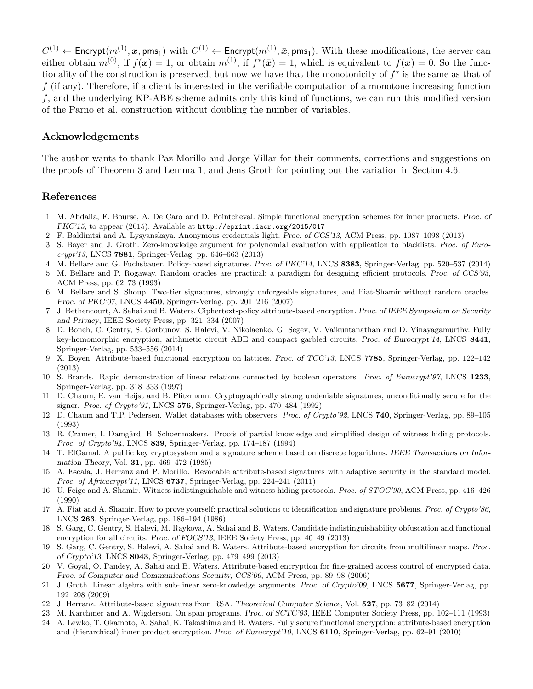$C^{(1)} \leftarrow {\sf{Encrypt}}(m^{(1)},\bm{x}, {\sf pms}_1) \ \text{with} \ C^{(1)} \leftarrow {\sf{Encrypt}}(m^{(1)},\bar{\bm{x}}, {\sf pms}_1). \ \text{With these modifications, the server can}$ either obtain  $m^{(0)}$ , if  $f(x) = 1$ , or obtain  $m^{(1)}$ , if  $f^*(\bar{x}) = 1$ , which is equivalent to  $f(x) = 0$ . So the functionality of the construction is preserved, but now we have that the monotonicity of  $f^*$  is the same as that of f (if any). Therefore, if a client is interested in the verifiable computation of a monotone increasing function f, and the underlying KP-ABE scheme admits only this kind of functions, we can run this modified version of the Parno et al. construction without doubling the number of variables.

## Acknowledgements

The author wants to thank Paz Morillo and Jorge Villar for their comments, corrections and suggestions on the proofs of Theorem 3 and Lemma 1, and Jens Groth for pointing out the variation in Section 4.6.

## References

- 1. M. Abdalla, F. Bourse, A. De Caro and D. Pointcheval. Simple functional encryption schemes for inner products. Proc. of PKC'15, to appear (2015). Available at http://eprint.iacr.org/2015/017
- 2. F. Baldimtsi and A. Lysyanskaya. Anonymous credentials light. Proc. of CCS'13, ACM Press, pp. 1087–1098 (2013)
- 3. S. Bayer and J. Groth. Zero-knowledge argument for polynomial evaluation with application to blacklists. Proc. of Eurocrypt'13, LNCS 7881, Springer-Verlag, pp. 646–663 (2013)
- 4. M. Bellare and G. Fuchsbauer. Policy-based signatures. Proc. of PKC'14, LNCS 8383, Springer-Verlag, pp. 520–537 (2014)
- 5. M. Bellare and P. Rogaway. Random oracles are practical: a paradigm for designing efficient protocols. Proc. of CCS'93, ACM Press, pp. 62–73 (1993)
- 6. M. Bellare and S. Shoup. Two-tier signatures, strongly unforgeable signatures, and Fiat-Shamir without random oracles. Proc. of PKC'07, LNCS 4450, Springer-Verlag, pp. 201–216 (2007)
- 7. J. Bethencourt, A. Sahai and B. Waters. Ciphertext-policy attribute-based encryption. Proc. of IEEE Symposium on Security and Privacy, IEEE Society Press, pp. 321–334 (2007)
- 8. D. Boneh, C. Gentry, S. Gorbunov, S. Halevi, V. Nikolaenko, G. Segev, V. Vaikuntanathan and D. Vinayagamurthy. Fully key-homomorphic encryption, arithmetic circuit ABE and compact garbled circuits. Proc. of Eurocrypt'14, LNCS 8441, Springer-Verlag, pp. 533–556 (2014)
- 9. X. Boyen. Attribute-based functional encryption on lattices. Proc. of TCC'13, LNCS 7785, Springer-Verlag, pp. 122–142 (2013)
- 10. S. Brands. Rapid demonstration of linear relations connected by boolean operators. Proc. of Eurocrypt'97, LNCS 1233, Springer-Verlag, pp. 318–333 (1997)
- 11. D. Chaum, E. van Heijst and B. Pfitzmann. Cryptographically strong undeniable signatures, unconditionally secure for the signer. Proc. of Crypto'91, LNCS 576, Springer-Verlag, pp. 470–484 (1992)
- 12. D. Chaum and T.P. Pedersen. Wallet databases with observers. Proc. of Crypto'92, LNCS 740, Springer-Verlag, pp. 89–105 (1993)
- 13. R. Cramer, I. Damgård, B. Schoenmakers. Proofs of partial knowledge and simplified design of witness hiding protocols. Proc. of Crypto'94, LNCS 839, Springer-Verlag, pp. 174–187 (1994)
- 14. T. ElGamal. A public key cryptosystem and a signature scheme based on discrete logarithms. IEEE Transactions on Information Theory, Vol. 31, pp. 469–472 (1985)
- 15. A. Escala, J. Herranz and P. Morillo. Revocable attribute-based signatures with adaptive security in the standard model. *Proc. of Africacrypt'11*, LNCS **6737**, Springer-Verlag, pp. 224–241 (2011)
- 16. U. Feige and A. Shamir. Witness indistinguishable and witness hiding protocols. Proc. of STOC'90, ACM Press, pp. 416–426 (1990)
- 17. A. Fiat and A. Shamir. How to prove yourself: practical solutions to identification and signature problems. Proc. of Crypto'86, LNCS 263, Springer-Verlag, pp. 186–194 (1986)
- 18. S. Garg, C. Gentry, S. Halevi, M. Raykova, A. Sahai and B. Waters. Candidate indistinguishability obfuscation and functional encryption for all circuits. Proc. of FOCS'13, IEEE Society Press, pp. 40–49 (2013)
- 19. S. Garg, C. Gentry, S. Halevi, A. Sahai and B. Waters. Attribute-based encryption for circuits from multilinear maps. Proc. of Crypto'13, LNCS 8043, Springer-Verlag, pp. 479–499 (2013)
- 20. V. Goyal, O. Pandey, A. Sahai and B. Waters. Attribute-based encryption for fine-grained access control of encrypted data. Proc. of Computer and Communications Security, CCS'06, ACM Press, pp. 89–98 (2006)
- 21. J. Groth. Linear algebra with sub-linear zero-knowledge arguments. Proc. of Crypto'09, LNCS 5677, Springer-Verlag, pp. 192–208 (2009)
- 22. J. Herranz. Attribute-based signatures from RSA. Theoretical Computer Science, Vol. 527, pp. 73–82 (2014)
- 23. M. Karchmer and A. Wigderson. On span programs. Proc. of SCTC'93, IEEE Computer Society Press, pp. 102–111 (1993) 24. A. Lewko, T. Okamoto, A. Sahai, K. Takashima and B. Waters. Fully secure functional encryption: attribute-based encryption
	- and (hierarchical) inner product encryption. Proc. of Eurocrypt'10, LNCS 6110, Springer-Verlag, pp. 62–91 (2010)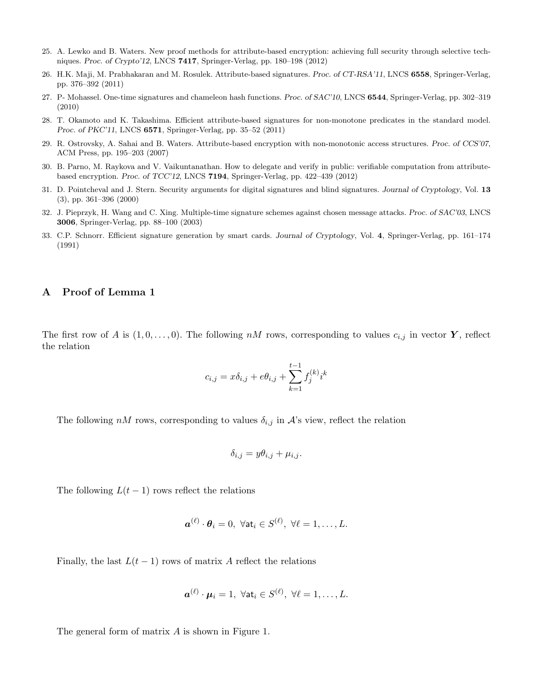- 25. A. Lewko and B. Waters. New proof methods for attribute-based encryption: achieving full security through selective techniques. Proc. of Crypto'12, LNCS 7417, Springer-Verlag, pp. 180–198 (2012)
- 26. H.K. Maji, M. Prabhakaran and M. Rosulek. Attribute-based signatures. Proc. of CT-RSA'11, LNCS 6558, Springer-Verlag, pp. 376–392 (2011)
- 27. P- Mohassel. One-time signatures and chameleon hash functions. Proc. of SAC'10, LNCS 6544, Springer-Verlag, pp. 302–319 (2010)
- 28. T. Okamoto and K. Takashima. Efficient attribute-based signatures for non-monotone predicates in the standard model. Proc. of PKC'11, LNCS 6571, Springer-Verlag, pp. 35–52 (2011)
- 29. R. Ostrovsky, A. Sahai and B. Waters. Attribute-based encryption with non-monotonic access structures. Proc. of CCS'07, ACM Press, pp. 195–203 (2007)
- 30. B. Parno, M. Raykova and V. Vaikuntanathan. How to delegate and verify in public: verifiable computation from attributebased encryption. Proc. of TCC'12, LNCS 7194, Springer-Verlag, pp. 422–439 (2012)
- 31. D. Pointcheval and J. Stern. Security arguments for digital signatures and blind signatures. Journal of Cryptology, Vol. 13 (3), pp. 361–396 (2000)
- 32. J. Pieprzyk, H. Wang and C. Xing. Multiple-time signature schemes against chosen message attacks. Proc. of SAC'03, LNCS 3006, Springer-Verlag, pp. 88–100 (2003)
- 33. C.P. Schnorr. Efficient signature generation by smart cards. Journal of Cryptology, Vol. 4, Springer-Verlag, pp. 161–174 (1991)

## A Proof of Lemma 1

The first row of A is  $(1, 0, \ldots, 0)$ . The following nM rows, corresponding to values  $c_{i,j}$  in vector Y, reflect the relation

$$
c_{i,j} = x\delta_{i,j} + e\theta_{i,j} + \sum_{k=1}^{t-1} f_j^{(k)} i^k
$$

The following nM rows, corresponding to values  $\delta_{i,j}$  in A's view, reflect the relation

$$
\delta_{i,j} = y\theta_{i,j} + \mu_{i,j}.
$$

The following  $L(t-1)$  rows reflect the relations

$$
\boldsymbol{a}^{(\ell)}\cdot\boldsymbol{\theta}_i=0, \ \forall \mathsf{at}_i\in S^{(\ell)}, \ \forall \ell=1,\ldots,L.
$$

Finally, the last  $L(t-1)$  rows of matrix A reflect the relations

$$
\boldsymbol{a}^{(\ell)}\cdot\boldsymbol{\mu}_i=1, \ \forall \mathsf{at}_i\in S^{(\ell)}, \ \forall \ell=1,\ldots,L.
$$

The general form of matrix A is shown in Figure 1.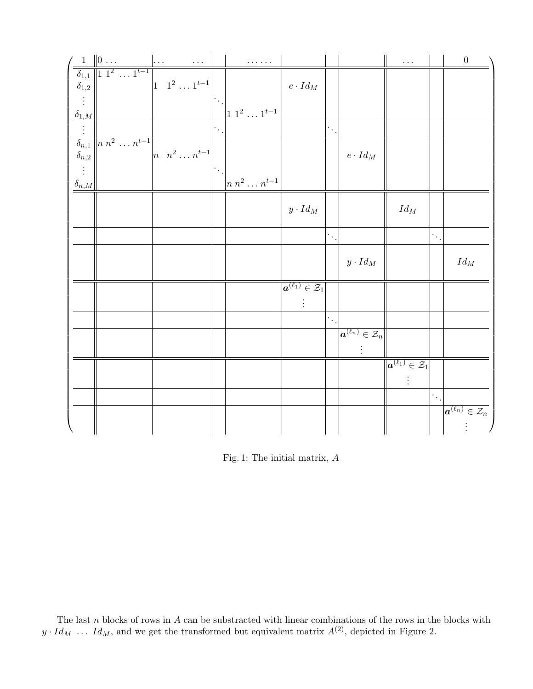|                          |                                                                                                       |                                       |                        | .                                        |                                                                        |                        |                                                       | $\Box$ .                                                       |                              | $\boldsymbol{0}$                                        |
|--------------------------|-------------------------------------------------------------------------------------------------------|---------------------------------------|------------------------|------------------------------------------|------------------------------------------------------------------------|------------------------|-------------------------------------------------------|----------------------------------------------------------------|------------------------------|---------------------------------------------------------|
|                          | $\frac{1}{\delta_{1,1}} \frac{\ 0 \dots}{\ 1\ ^{1 \ 1^{2} \dots 1^{t-1}}}\Big _{1 \ 1^{2} \ 1^{t-1}}$ |                                       |                        |                                          |                                                                        |                        |                                                       |                                                                |                              |                                                         |
|                          |                                                                                                       |                                       |                        |                                          | $e\cdot Id_M$                                                          |                        |                                                       |                                                                |                              |                                                         |
|                          |                                                                                                       |                                       |                        |                                          |                                                                        |                        |                                                       |                                                                |                              |                                                         |
| $\frac{\delta_{1,M}}{2}$ |                                                                                                       |                                       |                        | $1\; 1^2\; \ldots\; 1^{t-1}$             |                                                                        |                        |                                                       |                                                                |                              |                                                         |
|                          |                                                                                                       |                                       | $\cdot$ .              |                                          |                                                                        | $\cdot$ .              |                                                       |                                                                |                              |                                                         |
|                          | $\overline{\delta_{n,1}}$ $\begin{array}{c} n n^2 \dots n^{t-1} \\ \delta_{n,2} \end{array}$          |                                       |                        |                                          |                                                                        |                        |                                                       |                                                                |                              |                                                         |
|                          |                                                                                                       | $\left  n \right  n^2 \ldots n^{t-1}$ |                        |                                          |                                                                        |                        | $e\cdot Id_M$                                         |                                                                |                              |                                                         |
|                          |                                                                                                       |                                       | $\ddot{\phantom{a}}$ . |                                          |                                                                        |                        |                                                       |                                                                |                              |                                                         |
| $\delta_{n,M}$           |                                                                                                       |                                       |                        | $\left  n \; n^2 \ldots n^{t-1} \right $ |                                                                        |                        |                                                       |                                                                |                              |                                                         |
|                          |                                                                                                       |                                       |                        |                                          | $y\cdot Id_M$                                                          |                        |                                                       | $\operatorname{Id}_M$                                          |                              |                                                         |
|                          |                                                                                                       |                                       |                        |                                          |                                                                        |                        |                                                       |                                                                |                              |                                                         |
|                          |                                                                                                       |                                       |                        |                                          |                                                                        | $ \cdot ,$             |                                                       |                                                                | $[\cdot\,,\cdot]$            |                                                         |
|                          |                                                                                                       |                                       |                        |                                          |                                                                        |                        |                                                       |                                                                |                              |                                                         |
|                          |                                                                                                       |                                       |                        |                                          |                                                                        |                        | $y\cdot Id_M$                                         |                                                                |                              | $\operatorname{Id}_M$                                   |
|                          |                                                                                                       |                                       |                        |                                          |                                                                        |                        |                                                       |                                                                |                              |                                                         |
|                          |                                                                                                       |                                       |                        |                                          | $\overline{\vert {\boldsymbol{a}}^{(\ell_1)} \in \mathcal{Z}_1 \vert}$ |                        |                                                       |                                                                |                              |                                                         |
|                          |                                                                                                       |                                       |                        |                                          |                                                                        |                        |                                                       |                                                                |                              |                                                         |
|                          |                                                                                                       |                                       |                        |                                          |                                                                        | $\ddot{\phantom{a}}$ . |                                                       |                                                                |                              |                                                         |
|                          |                                                                                                       |                                       |                        |                                          |                                                                        |                        | $\boxed{\boldsymbol{a}^{(\ell_n)} \in \mathcal{Z}_n}$ |                                                                |                              |                                                         |
|                          |                                                                                                       |                                       |                        |                                          |                                                                        |                        |                                                       |                                                                |                              |                                                         |
|                          |                                                                                                       |                                       |                        |                                          |                                                                        |                        |                                                       | $\overline{\ket{\boldsymbol{a}^{(\ell_1)} \in \mathcal{Z}_1}}$ |                              |                                                         |
|                          |                                                                                                       |                                       |                        |                                          |                                                                        |                        |                                                       |                                                                |                              |                                                         |
|                          |                                                                                                       |                                       |                        |                                          |                                                                        |                        |                                                       |                                                                |                              |                                                         |
|                          |                                                                                                       |                                       |                        |                                          |                                                                        |                        |                                                       |                                                                | $\left \cdot\right _{\cdot}$ |                                                         |
|                          |                                                                                                       |                                       |                        |                                          |                                                                        |                        |                                                       |                                                                |                              | $\boxed{ \boldsymbol{a}^{(\ell_n)} \in \mathcal{Z}_n }$ |
|                          |                                                                                                       |                                       |                        |                                          |                                                                        |                        |                                                       |                                                                |                              |                                                         |

Fig. 1: The initial matrix, A

The last n blocks of rows in  $A$  can be substracted with linear combinations of the rows in the blocks with  $y \cdot Id_M$  ...  $Id_M$ , and we get the transformed but equivalent matrix  $A^{(2)}$ , depicted in Figure 2.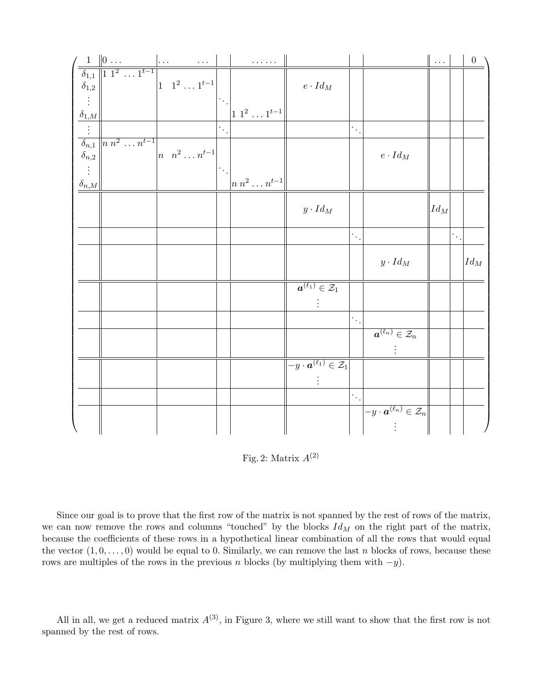|                                     | $\left(\begin{array}{c c} 1 & 0 & \ldots & \ldots \\ \hline \hline \delta_{1,1} & 1 & 1^2 & \ldots & 1^{t-1} \\ \delta_{1,2} & \end{array}\right)$ |                                          |                  | .                                      |                                                               |                        |                                                               | $\ \ldots\ $       |           | $\begin{matrix} 0 \end{matrix}$ |
|-------------------------------------|----------------------------------------------------------------------------------------------------------------------------------------------------|------------------------------------------|------------------|----------------------------------------|---------------------------------------------------------------|------------------------|---------------------------------------------------------------|--------------------|-----------|---------------------------------|
|                                     |                                                                                                                                                    |                                          |                  |                                        |                                                               |                        |                                                               |                    |           |                                 |
|                                     |                                                                                                                                                    | $\left 1 \quad 1^2 \dots 1^{t-1}\right $ |                  |                                        | $e\cdot Id_M$                                                 |                        |                                                               |                    |           |                                 |
| $\vdots$                            |                                                                                                                                                    |                                          | $ \cdot $        |                                        |                                                               |                        |                                                               |                    |           |                                 |
| $\frac{\delta_{1,M}}{\vdots}$       |                                                                                                                                                    |                                          |                  | $1^{2} \dots 1^{t-1}$                  |                                                               |                        |                                                               |                    |           |                                 |
|                                     |                                                                                                                                                    |                                          | $\ddot{\cdot}$ . |                                        |                                                               | Ψ.                     |                                                               |                    |           |                                 |
|                                     | $\overline{\delta_{n,1}}$ $\begin{array}{c} n \, n^2 \, \ldots \, n^{t-1} \\ \delta_{n,2} \end{array}$                                             | $\left  n \right  n^2 \ldots n^{t-1}$    |                  |                                        |                                                               |                        |                                                               |                    |           |                                 |
|                                     |                                                                                                                                                    |                                          |                  |                                        |                                                               |                        | $e\cdot Id_M$                                                 |                    |           |                                 |
| $\vdots$<br>$\frac{\delta_{n,M}}{}$ |                                                                                                                                                    |                                          | $ \cdot $ .      | $\left  n\,n^{2}\ldots n^{t-1}\right $ |                                                               |                        |                                                               |                    |           |                                 |
|                                     |                                                                                                                                                    |                                          |                  |                                        |                                                               |                        |                                                               |                    |           |                                 |
|                                     |                                                                                                                                                    |                                          |                  |                                        | $y\cdot Id_M$                                                 |                        |                                                               | $\vert Id_M \vert$ |           |                                 |
|                                     |                                                                                                                                                    |                                          |                  |                                        |                                                               |                        |                                                               |                    |           |                                 |
|                                     |                                                                                                                                                    |                                          |                  |                                        |                                                               | $\dddot{\phantom{0}}$  |                                                               |                    | $\cdot$ . |                                 |
|                                     |                                                                                                                                                    |                                          |                  |                                        |                                                               |                        |                                                               |                    |           |                                 |
|                                     |                                                                                                                                                    |                                          |                  |                                        |                                                               |                        | $y\cdot Id_M$                                                 |                    |           | $Id_M$                          |
|                                     |                                                                                                                                                    |                                          |                  |                                        |                                                               |                        |                                                               |                    |           |                                 |
|                                     |                                                                                                                                                    |                                          |                  |                                        | $\overline{\bm{a}^{(\ell_1)} \in \mathcal{Z}_1}$              |                        |                                                               |                    |           |                                 |
|                                     |                                                                                                                                                    |                                          |                  |                                        |                                                               |                        |                                                               |                    |           |                                 |
|                                     |                                                                                                                                                    |                                          |                  |                                        |                                                               | $\ddot{\phantom{0}}$ . |                                                               |                    |           |                                 |
|                                     |                                                                                                                                                    |                                          |                  |                                        |                                                               |                        | $\boxed{ \boldsymbol{a}^{(\ell_n)} \in \mathcal{Z}_n }$       |                    |           |                                 |
|                                     |                                                                                                                                                    |                                          |                  |                                        |                                                               |                        |                                                               |                    |           |                                 |
|                                     |                                                                                                                                                    |                                          |                  |                                        | $\overline{-y\cdot\boldsymbol{a}^{(\ell_1)}\in\mathcal{Z}_1}$ |                        |                                                               |                    |           |                                 |
|                                     |                                                                                                                                                    |                                          |                  |                                        |                                                               |                        |                                                               |                    |           |                                 |
|                                     |                                                                                                                                                    |                                          |                  |                                        |                                                               | $\ddot{\phantom{0}}$ . |                                                               |                    |           |                                 |
|                                     |                                                                                                                                                    |                                          |                  |                                        |                                                               |                        | $\boxed{-y\cdot \boldsymbol{a}^{(\ell_n)} \in \mathcal{Z}_n}$ |                    |           |                                 |
|                                     |                                                                                                                                                    |                                          |                  |                                        |                                                               |                        |                                                               |                    |           |                                 |
|                                     |                                                                                                                                                    |                                          |                  |                                        |                                                               |                        |                                                               |                    |           |                                 |

Fig. 2: Matrix  $A^{(2)}$ 

Since our goal is to prove that the first row of the matrix is not spanned by the rest of rows of the matrix, we can now remove the rows and columns "touched" by the blocks  $Id_M$  on the right part of the matrix, because the coefficients of these rows in a hypothetical linear combination of all the rows that would equal the vector  $(1, 0, \ldots, 0)$  would be equal to 0. Similarly, we can remove the last n blocks of rows, because these rows are multiples of the rows in the previous n blocks (by multiplying them with  $-y$ ).

All in all, we get a reduced matrix  $A^{(3)}$ , in Figure 3, where we still want to show that the first row is not spanned by the rest of rows.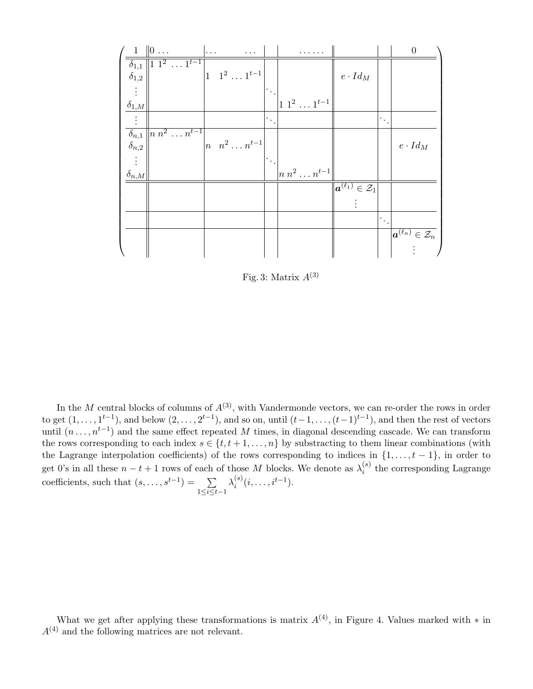| $\,$ 1 $\,$                | $\ 0 \dots$                             | $\cdots$ | $\cdots$                                |     |                                        |                                                            |    | $\boldsymbol{0}$                                               |
|----------------------------|-----------------------------------------|----------|-----------------------------------------|-----|----------------------------------------|------------------------------------------------------------|----|----------------------------------------------------------------|
| $\overline{\delta_{1,1}}$  | $\sqrt{11^2 \ldots 1^{t-1}}$            |          |                                         |     |                                        |                                                            |    |                                                                |
| $\delta_{1,2}$             |                                         |          | $1 \quad 1^2 \quad \dots \quad 1^{t-1}$ |     |                                        | $e \cdot Id_M$                                             |    |                                                                |
|                            |                                         |          |                                         | ٠.  |                                        |                                                            |    |                                                                |
| $\delta_{1,\underline{M}}$ |                                         |          |                                         |     | $1\; 1^2\; \ldots\, 1^{t-1}$           |                                                            |    |                                                                |
| $\vdots$                   |                                         |          |                                         | e C |                                        |                                                            | ٠. |                                                                |
|                            | $\delta_{n,1}$   n $n^2 \ldots n^{t-1}$ |          |                                         |     |                                        |                                                            |    |                                                                |
| $\delta_{n,2}$             |                                         |          | $\left  n \right  n^2 \ldots n^{t-1}$   |     |                                        |                                                            |    | $e \cdot Id_M$                                                 |
|                            |                                         |          |                                         |     |                                        |                                                            |    |                                                                |
| $\delta_{\underline{n},M}$ |                                         |          |                                         |     | $\left  n\> n^2\ldots n^{t-1} \right $ |                                                            |    |                                                                |
|                            |                                         |          |                                         |     |                                        | $\overline{\ \boldsymbol{a}^{(\ell_1)}\in\mathcal{Z}_1\ }$ |    |                                                                |
|                            |                                         |          |                                         |     |                                        |                                                            |    |                                                                |
|                            |                                         |          |                                         |     |                                        |                                                            | ٠. |                                                                |
|                            |                                         |          |                                         |     |                                        |                                                            |    | $\overline{\ket{\boldsymbol{a}^{(\ell_n)} \in \mathcal{Z}_n}}$ |
|                            |                                         |          |                                         |     |                                        |                                                            |    |                                                                |

Fig. 3: Matrix  $A^{(3)}$ 

In the M central blocks of columns of  $A^{(3)}$ , with Vandermonde vectors, we can re-order the rows in order to get  $(1,\ldots,1^{t-1})$ , and below  $(2,\ldots,2^{t-1})$ , and so on, until  $(t-1,\ldots,(t-1)^{t-1})$ , and then the rest of vectors until  $(n \ldots, n^{t-1})$  and the same effect repeated M times, in diagonal descending cascade. We can transform the rows corresponding to each index  $s \in \{t, t+1, \ldots, n\}$  by substracting to them linear combinations (with the Lagrange interpolation coefficients) of the rows corresponding to indices in  $\{1, \ldots, t-1\}$ , in order to get 0's in all these  $n - t + 1$  rows of each of those M blocks. We denote as  $\lambda_i^{(s)}$  $i_j^{(s)}$  the corresponding Lagrange coefficients, such that  $(s, \ldots, s^{t-1}) = \sum$ 1≤i≤t−1  $\lambda_i^{(s)}$  $i^{(s)}(i, \ldots, i^{t-1}).$ 

What we get after applying these transformations is matrix  $A^{(4)}$ , in Figure 4. Values marked with  $*$  in  $A^{(4)}$  and the following matrices are not relevant.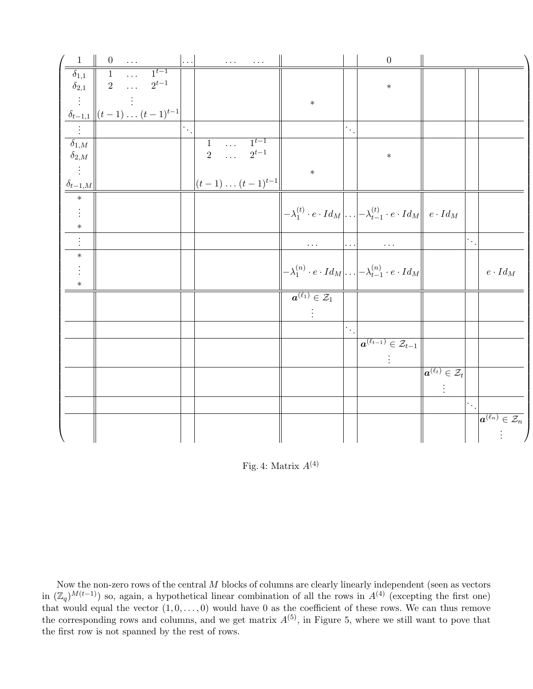| $\frac{1}{\sqrt{1}}$                                | $\begin{array}{ c c } \hline 0 & \ldots \end{array}$ |             |                                                       | $\ldots$         |                                       | $\mathbf{r}$ , $\mathbf{r}$ , $\mathbf{r}$ , $\mathbf{r}$ , $\mathbf{r}$ , $\mathbf{r}$ |                                                      |                        | $\boldsymbol{0}$                                                                                                                                 |                                                               |           |                                                         |
|-----------------------------------------------------|------------------------------------------------------|-------------|-------------------------------------------------------|------------------|---------------------------------------|-----------------------------------------------------------------------------------------|------------------------------------------------------|------------------------|--------------------------------------------------------------------------------------------------------------------------------------------------|---------------------------------------------------------------|-----------|---------------------------------------------------------|
| $\overline{\delta_{1,1}}$ $\overline{\delta_{2,1}}$ | $\sqrt{1}$                                           | $\sim 1.11$ | $\frac{1}{1}t-1$                                      |                  |                                       |                                                                                         |                                                      |                        |                                                                                                                                                  |                                                               |           |                                                         |
|                                                     |                                                      | $2 \ldots$  | $2^{t-1}$                                             |                  |                                       |                                                                                         |                                                      |                        | $\ast$                                                                                                                                           |                                                               |           |                                                         |
|                                                     |                                                      |             |                                                       |                  |                                       |                                                                                         | $\ast$                                               |                        |                                                                                                                                                  |                                                               |           |                                                         |
|                                                     |                                                      |             | $\delta_{t-1,1}\left\ (t-1)\ldots(t-1)^{t-1}\right\ $ |                  |                                       |                                                                                         |                                                      |                        |                                                                                                                                                  |                                                               |           |                                                         |
|                                                     |                                                      |             |                                                       | $\ddot{\cdot}$ . |                                       |                                                                                         |                                                      | $\ddot{\phantom{0}}$ . |                                                                                                                                                  |                                                               |           |                                                         |
| $\delta_{1,M}$                                      |                                                      |             |                                                       |                  | $\overline{1}$                        | $\overline{\cdots}$ $1^{t-1}$                                                           |                                                      |                        |                                                                                                                                                  |                                                               |           |                                                         |
| $\delta_{2,M}$                                      |                                                      |             |                                                       |                  |                                       | $2 \quad \cdots \quad 2^{t-1}$                                                          |                                                      |                        | $\ast$                                                                                                                                           |                                                               |           |                                                         |
|                                                     |                                                      |             |                                                       |                  |                                       |                                                                                         | $\ast$                                               |                        |                                                                                                                                                  |                                                               |           |                                                         |
| $\frac{\delta_{t-1,M}}{*}$                          |                                                      |             |                                                       |                  | $\left (t-1)\ldots(t-1)^{t-1}\right $ |                                                                                         |                                                      |                        |                                                                                                                                                  |                                                               |           |                                                         |
|                                                     |                                                      |             |                                                       |                  |                                       |                                                                                         |                                                      |                        |                                                                                                                                                  |                                                               |           |                                                         |
| $\vdots$                                            |                                                      |             |                                                       |                  |                                       |                                                                                         |                                                      |                        | $\left\  -\lambda_1^{(t)} \cdot e \cdot Id_M \right\  \ldots \left\  -\lambda_{t-1}^{(t)} \cdot e \cdot Id_M \right\  \hspace{1mm} e \cdot Id_M$ |                                                               |           |                                                         |
|                                                     |                                                      |             |                                                       |                  |                                       |                                                                                         |                                                      |                        |                                                                                                                                                  |                                                               |           |                                                         |
| $\vdots$                                            |                                                      |             |                                                       |                  |                                       |                                                                                         | $\cdots$                                             |                        | $\cdots$                                                                                                                                         |                                                               | $\cdot$ . |                                                         |
| $\ast$                                              |                                                      |             |                                                       |                  |                                       |                                                                                         |                                                      |                        |                                                                                                                                                  |                                                               |           |                                                         |
|                                                     |                                                      |             |                                                       |                  |                                       |                                                                                         |                                                      |                        | $-\lambda_1^{(n)} \cdot e \cdot Id_M \Big  \dots \Big  -\lambda_{t-1}^{(n)} \cdot e \cdot Id_M$                                                  |                                                               |           | $e\cdot Id_M$                                           |
| $\ast$                                              |                                                      |             |                                                       |                  |                                       |                                                                                         |                                                      |                        |                                                                                                                                                  |                                                               |           |                                                         |
|                                                     |                                                      |             |                                                       |                  |                                       |                                                                                         | $\overline{\mathbf{a}^{(\ell_1)} \in \mathcal{Z}_1}$ |                        |                                                                                                                                                  |                                                               |           |                                                         |
|                                                     |                                                      |             |                                                       |                  |                                       |                                                                                         |                                                      |                        |                                                                                                                                                  |                                                               |           |                                                         |
|                                                     |                                                      |             |                                                       |                  |                                       |                                                                                         |                                                      | $(\gamma_{\star})$     |                                                                                                                                                  |                                                               |           |                                                         |
|                                                     |                                                      |             |                                                       |                  |                                       |                                                                                         |                                                      |                        | $\overline{\boldsymbol{a}^{(\ell_{t-1})}\in\mathcal{Z}_{t-1}}$                                                                                   |                                                               |           |                                                         |
|                                                     |                                                      |             |                                                       |                  |                                       |                                                                                         |                                                      |                        |                                                                                                                                                  |                                                               |           |                                                         |
|                                                     |                                                      |             |                                                       |                  |                                       |                                                                                         |                                                      |                        |                                                                                                                                                  | $\left \overline{\bm{a}^{(\ell_t)} \in \mathcal{Z}_t}\right $ |           |                                                         |
|                                                     |                                                      |             |                                                       |                  |                                       |                                                                                         |                                                      |                        |                                                                                                                                                  |                                                               |           |                                                         |
|                                                     |                                                      |             |                                                       |                  |                                       |                                                                                         |                                                      |                        |                                                                                                                                                  |                                                               | $\cdot$ . |                                                         |
|                                                     |                                                      |             |                                                       |                  |                                       |                                                                                         |                                                      |                        |                                                                                                                                                  |                                                               |           | $\boxed{ \boldsymbol{a}^{(\ell_n)} \in \mathcal{Z}_n }$ |
|                                                     |                                                      |             |                                                       |                  |                                       |                                                                                         |                                                      |                        |                                                                                                                                                  |                                                               |           |                                                         |
|                                                     |                                                      |             |                                                       |                  |                                       |                                                                                         |                                                      |                        |                                                                                                                                                  |                                                               |           |                                                         |

Fig. 4: Matrix  $A^{(4)}$ 

Now the non-zero rows of the central M blocks of columns are clearly linearly independent (seen as vectors in  $(\mathbb{Z}_q)^{M(t-1)}$  so, again, a hypothetical linear combination of all the rows in  $A^{(4)}$  (excepting the first one) that would equal the vector  $(1, 0, \ldots, 0)$  would have 0 as the coefficient of these rows. We can thus remove the corresponding rows and columns, and we get matrix  $A^{(5)}$ , in Figure 5, where we still want to pove that the first row is not spanned by the rest of rows.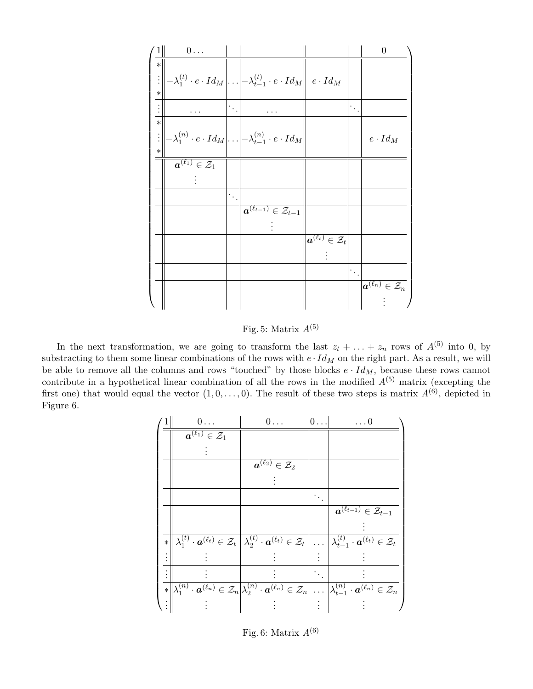| 1                | $0 \ldots$                                                  |                               |                                                                                                                                                                       |                                                         |                                  | $\boldsymbol{0}$                                        |
|------------------|-------------------------------------------------------------|-------------------------------|-----------------------------------------------------------------------------------------------------------------------------------------------------------------------|---------------------------------------------------------|----------------------------------|---------------------------------------------------------|
| $\ast$<br>$\ast$ |                                                             |                               | $\begin{aligned} \left\  \left\  -\lambda_1^{(t)} \cdot e \cdot Id_M \right\ . \left\  -\lambda_{t-1}^{(t)} \cdot e \cdot Id_M \right\  \ e \cdot Id_M \end{aligned}$ |                                                         |                                  |                                                         |
|                  |                                                             | $\left\vert \cdot\right\vert$ |                                                                                                                                                                       |                                                         | $\left\lceil \cdot \right\rceil$ |                                                         |
| $\ast$<br>$\ast$ |                                                             |                               | $\mathbb{E}\big\  - \lambda_1^{(n)} \cdot e \cdot Id_M \big  \ldots \big  - \lambda_{t-1}^{(n)} \cdot e \cdot Id_M \big\ $                                            |                                                         |                                  | $e\cdot Id_M$                                           |
|                  | $\overline{\overline{\bm{a}}^{(\ell_1)} \in \mathcal{Z}_1}$ |                               |                                                                                                                                                                       |                                                         |                                  |                                                         |
|                  |                                                             | $\left\vert \cdot\right\vert$ | $\overline{\boldsymbol{a}^{(\ell_{t-1})}\in\mathcal{Z}_{t-1}}$                                                                                                        |                                                         |                                  |                                                         |
|                  |                                                             |                               |                                                                                                                                                                       | $\boxed{ \boldsymbol{a}^{(\ell_t)} \in \mathcal{Z}_t }$ |                                  |                                                         |
|                  |                                                             |                               |                                                                                                                                                                       |                                                         | $\left\lceil \cdot \right\rceil$ |                                                         |
|                  |                                                             |                               |                                                                                                                                                                       |                                                         |                                  | $\boxed{ \boldsymbol{a}^{(\ell_n)} \in \mathcal{Z}_n }$ |

Fig. 5: Matrix  $A^{(5)}$ 

In the next transformation, we are going to transform the last  $z_t + \ldots + z_n$  rows of  $A^{(5)}$  into 0, by substracting to them some linear combinations of the rows with  $e \cdot Id_M$  on the right part. As a result, we will be able to remove all the columns and rows "touched" by those blocks  $e \cdot Id_M$ , because these rows cannot contribute in a hypothetical linear combination of all the rows in the modified  $A^{(5)}$  matrix (excepting the first one) that would equal the vector  $(1, 0, \ldots, 0)$ . The result of these two steps is matrix  $A^{(6)}$ , depicted in Figure 6.

|        | $0 \ldots$                                             | $0 \ldots$                                     | 0         | $\dots 0$                                                                                                                                                                                                                            |
|--------|--------------------------------------------------------|------------------------------------------------|-----------|--------------------------------------------------------------------------------------------------------------------------------------------------------------------------------------------------------------------------------------|
|        | $\overline{\boldsymbol{a}^{(\ell_1)}\in\mathcal{Z}_1}$ |                                                |           |                                                                                                                                                                                                                                      |
|        |                                                        |                                                |           |                                                                                                                                                                                                                                      |
|        |                                                        | $\overline{\bm{a}^{(\ell_2)}\in\mathcal{Z}_2}$ |           |                                                                                                                                                                                                                                      |
|        |                                                        |                                                |           |                                                                                                                                                                                                                                      |
|        |                                                        |                                                |           |                                                                                                                                                                                                                                      |
|        |                                                        |                                                |           | $\overline{\boldsymbol{a}^{(\ell_{t-1})}}\in\mathcal{Z}_{t-1}$                                                                                                                                                                       |
|        |                                                        |                                                |           |                                                                                                                                                                                                                                      |
| $\ast$ |                                                        |                                                |           | $\lambda_1^{(t)} \cdot \mathbf{a}^{(\ell_t)} \in \mathcal{Z}_t \left[ \lambda_2^{(t)} \cdot \mathbf{a}^{(\ell_t)} \in \mathcal{Z}_t \right] \ldots \left[ \lambda_{t-1}^{(t)} \cdot \mathbf{a}^{(\ell_t)} \in \mathcal{Z}_t \right]$ |
|        |                                                        |                                                |           |                                                                                                                                                                                                                                      |
|        |                                                        |                                                | $\cdot$ . |                                                                                                                                                                                                                                      |
|        |                                                        |                                                |           | $\ \lambda_1^{(n)}\cdot\boldsymbol{a}^{(\ell_n)}\in\mathcal{Z}_n\big \lambda_2^{(n)}\cdot\boldsymbol{a}^{(\ell_n)}\in\mathcal{Z}_n\big \ldots\big \lambda_{t-1}^{(n)}\cdot\boldsymbol{a}^{(\ell_n)}\in\mathcal{Z}_n\big $            |
|        |                                                        |                                                |           |                                                                                                                                                                                                                                      |

Fig. 6: Matrix  $A^{(6)}$